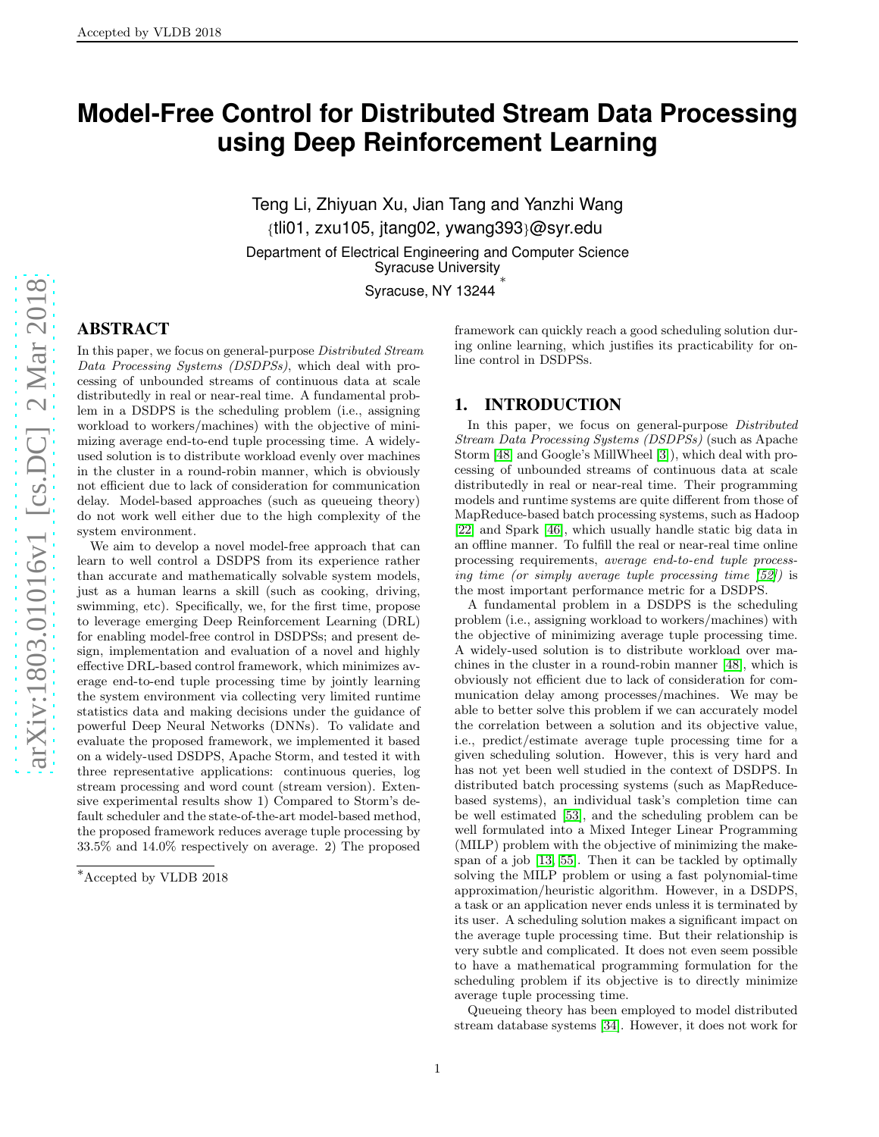# **Model-Free Control for Distributed Stream Data Processing using Deep Reinforcement Learning**

Teng Li, Zhiyuan Xu, Jian Tang and Yanzhi Wang {tli01, zxu105, jtang02, ywang393}@syr.edu Department of Electrical Engineering and Computer Science Syracuse University ∗

Syracuse, NY 13244

# ABSTRACT

In this paper, we focus on general-purpose *Distributed Stream* Data Processing Systems (DSDPSs), which deal with processing of unbounded streams of continuous data at scale distributedly in real or near-real time. A fundamental prob lem in a DSDPS is the scheduling problem (i.e., assigning workload to workers/machines) with the objective of minimizing average end-to-end tuple processing time. A widelyused solution is to distribute workload evenly over machines in the cluster in a round-robin manner, which is obviously not efficient due to lack of consideration for communication delay. Model-based approaches (such as queueing theory) do not work well either due to the high complexity of the system environment.

We aim to develop a novel model-free approach that can learn to well control a DSDPS from its experience rather than accurate and mathematically solvable system models, just as a human learns a skill (such as cooking, driving, swimming, etc). Specifically, we, for the first time, propose to leverage emerging Deep Reinforcement Learning (DRL) for enabling model-free control in DSDPSs; and present design, implementation and evaluation of a novel and highly effective DRL-based control framework, which minimizes average end-to-end tuple processing time by jointly learning the system environment via collecting very limited runtime statistics data and making decisions under the guidance of powerful Deep Neural Networks (DNNs). To validate and evaluate the proposed framework, we implemented it based on a widely-used DSDPS, Apache Storm, and tested it with three representative applications: continuous queries, log stream processing and word count (stream version). Extensive experimental results show 1) Compared to Storm's default scheduler and the state-of-the-art model-based method, the proposed framework reduces average tuple processing by 33 .5% and 14 .0% respectively on average. 2) The proposed

framework can quickly reach a good scheduling solution during online learning, which justifies its practicability for online control in DSDPSs.

# 1. INTRODUCTION

In this paper, we focus on general-purpose Distributed Stream Data Processing Systems (DSDPSs) (such as Apache Storm [\[48\]](#page-12-0) and Google's MillWheel [\[3\]](#page-11-0)), which deal with processing of unbounded streams of continuous data at scale distributedly in real or near-real time. Their programming models and runtime systems are quite different from those of MapReduce-based batch processing systems, such as Hadoop [\[22\]](#page-12-1) and Spark [\[46\]](#page-12-2), which usually handle static big data in an offline manner. To fulfill the real or near-real time online processing requirements, average end-to-end tuple processing time (or simply average tuple processing time [\[52\]](#page-13-0)) is the most important performance metric for a DSDPS.

A fundamental problem in a DSDPS is the scheduling problem (i.e., assigning workload to workers/machines) with the objective of minimizing average tuple processing time. A widely-used solution is to distribute workload over machines in the cluster in a round-robin manner [\[48\]](#page-12-0), which is obviously not efficient due to lack of consideration for communication delay among processes/machines. We may be able to better solve this problem if we can accurately model the correlation between a solution and its objective value, i.e., predict/estimate average tuple processing time for a given scheduling solution. However, this is very hard and has not yet been well studied in the context of DSDPS. In distributed batch processing systems (such as MapReducebased systems), an individual task's completion time can be well estimated [\[53\]](#page-13-1), and the scheduling problem can be well formulated into a Mixed Integer Linear Programming (MILP) problem with the objective of minimizing the makespan of a job [\[13,](#page-12-3) [55\]](#page-13-2). Then it can be tackled by optimally solving the MILP problem or using a fast polynomial-time approximation/heuristic algorithm. However, in a DSDPS, a task or an application never ends unless it is terminated by its user. A scheduling solution makes a significant impact on the average tuple processing time. But their relationship i s very subtle and complicated. It does not even seem possible to have a mathematical programming formulation for the scheduling problem if its objective is to directly minimize average tuple processing time.

Queueing theory has been employed to model distributed stream database systems [\[34\]](#page-12-4). However, it does not work for

<sup>∗</sup>Accepted by VLDB 2018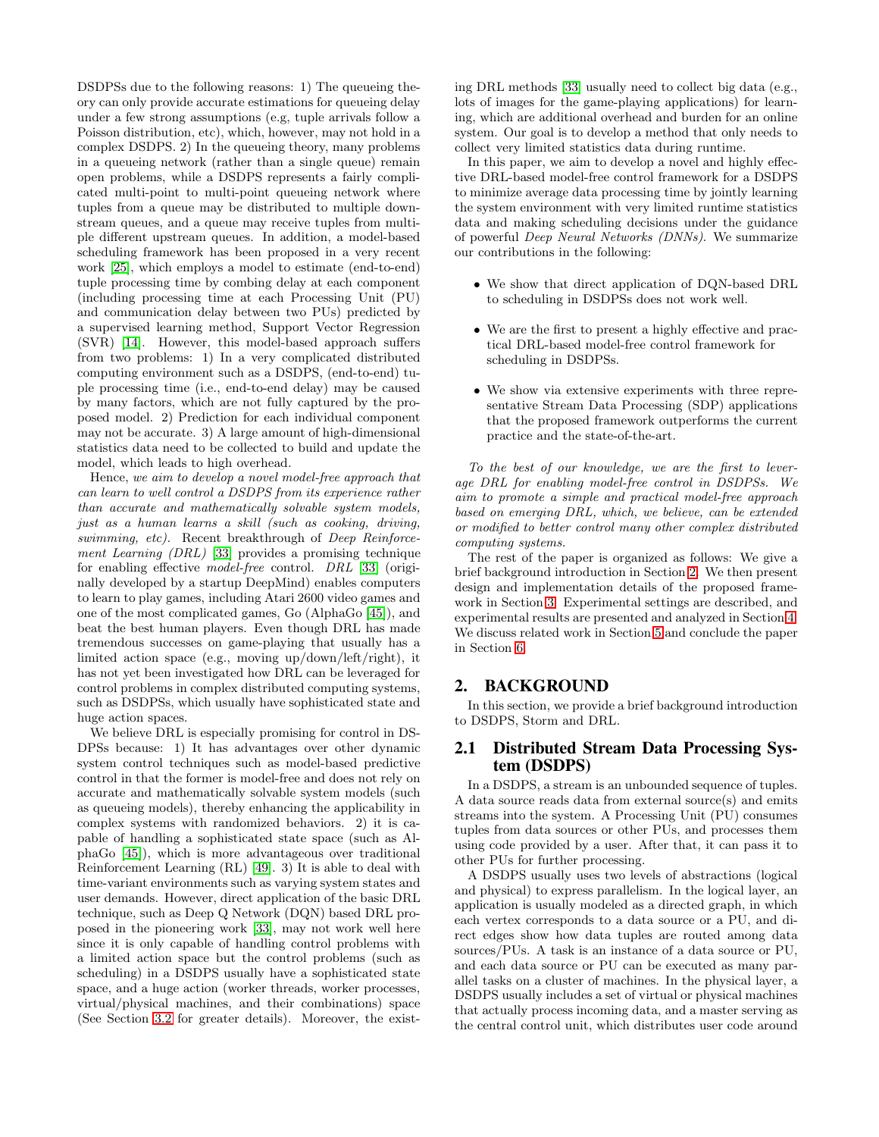DSDPSs due to the following reasons: 1) The queueing theory can only provide accurate estimations for queueing delay under a few strong assumptions (e.g, tuple arrivals follow a Poisson distribution, etc), which, however, may not hold in a complex DSDPS. 2) In the queueing theory, many problems in a queueing network (rather than a single queue) remain open problems, while a DSDPS represents a fairly complicated multi-point to multi-point queueing network where tuples from a queue may be distributed to multiple downstream queues, and a queue may receive tuples from multiple different upstream queues. In addition, a model-based scheduling framework has been proposed in a very recent work [\[25\]](#page-12-5), which employs a model to estimate (end-to-end) tuple processing time by combing delay at each component (including processing time at each Processing Unit (PU) and communication delay between two PUs) predicted by a supervised learning method, Support Vector Regression (SVR) [\[14\]](#page-12-6). However, this model-based approach suffers from two problems: 1) In a very complicated distributed computing environment such as a DSDPS, (end-to-end) tuple processing time (i.e., end-to-end delay) may be caused by many factors, which are not fully captured by the proposed model. 2) Prediction for each individual component may not be accurate. 3) A large amount of high-dimensional statistics data need to be collected to build and update the model, which leads to high overhead.

Hence, we aim to develop a novel model-free approach that can learn to well control a DSDPS from its experience rather than accurate and mathematically solvable system models, just as a human learns a skill (such as cooking, driving, swimming, etc). Recent breakthrough of Deep Reinforcement Learning (DRL) [\[33\]](#page-12-7) provides a promising technique for enabling effective model-free control. DRL [\[33\]](#page-12-7) (originally developed by a startup DeepMind) enables computers to learn to play games, including Atari 2600 video games and one of the most complicated games, Go (AlphaGo [\[45\]](#page-12-8)), and beat the best human players. Even though DRL has made tremendous successes on game-playing that usually has a limited action space (e.g., moving up/down/left/right), it has not yet been investigated how DRL can be leveraged for control problems in complex distributed computing systems, such as DSDPSs, which usually have sophisticated state and huge action spaces.

We believe DRL is especially promising for control in DS-DPSs because: 1) It has advantages over other dynamic system control techniques such as model-based predictive control in that the former is model-free and does not rely on accurate and mathematically solvable system models (such as queueing models), thereby enhancing the applicability in complex systems with randomized behaviors. 2) it is capable of handling a sophisticated state space (such as AlphaGo [\[45\]](#page-12-8)), which is more advantageous over traditional Reinforcement Learning (RL) [\[49\]](#page-13-3). 3) It is able to deal with time-variant environments such as varying system states and user demands. However, direct application of the basic DRL technique, such as Deep Q Network (DQN) based DRL proposed in the pioneering work [\[33\]](#page-12-7), may not work well here since it is only capable of handling control problems with a limited action space but the control problems (such as scheduling) in a DSDPS usually have a sophisticated state space, and a huge action (worker threads, worker processes, virtual/physical machines, and their combinations) space (See Section [3.2](#page-3-0) for greater details). Moreover, the existing DRL methods [\[33\]](#page-12-7) usually need to collect big data (e.g., lots of images for the game-playing applications) for learning, which are additional overhead and burden for an online system. Our goal is to develop a method that only needs to collect very limited statistics data during runtime.

In this paper, we aim to develop a novel and highly effective DRL-based model-free control framework for a DSDPS to minimize average data processing time by jointly learning the system environment with very limited runtime statistics data and making scheduling decisions under the guidance of powerful Deep Neural Networks (DNNs). We summarize our contributions in the following:

- We show that direct application of DQN-based DRL to scheduling in DSDPSs does not work well.
- We are the first to present a highly effective and practical DRL-based model-free control framework for scheduling in DSDPSs.
- We show via extensive experiments with three representative Stream Data Processing (SDP) applications that the proposed framework outperforms the current practice and the state-of-the-art.

To the best of our knowledge, we are the first to leverage DRL for enabling model-free control in DSDPSs. We aim to promote a simple and practical model-free approach based on emerging DRL, which, we believe, can be extended or modified to better control many other complex distributed computing systems.

The rest of the paper is organized as follows: We give a brief background introduction in Section [2.](#page-1-0) We then present design and implementation details of the proposed framework in Section [3.](#page-3-1) Experimental settings are described, and experimental results are presented and analyzed in Section [4.](#page-6-0) We discuss related work in Section [5](#page-10-0) and conclude the paper in Section [6.](#page-11-1)

# <span id="page-1-0"></span>2. BACKGROUND

In this section, we provide a brief background introduction to DSDPS, Storm and DRL.

## 2.1 Distributed Stream Data Processing System (DSDPS)

In a DSDPS, a stream is an unbounded sequence of tuples. A data source reads data from external source(s) and emits streams into the system. A Processing Unit (PU) consumes tuples from data sources or other PUs, and processes them using code provided by a user. After that, it can pass it to other PUs for further processing.

A DSDPS usually uses two levels of abstractions (logical and physical) to express parallelism. In the logical layer, an application is usually modeled as a directed graph, in which each vertex corresponds to a data source or a PU, and direct edges show how data tuples are routed among data sources/PUs. A task is an instance of a data source or PU, and each data source or PU can be executed as many parallel tasks on a cluster of machines. In the physical layer, a DSDPS usually includes a set of virtual or physical machines that actually process incoming data, and a master serving as the central control unit, which distributes user code around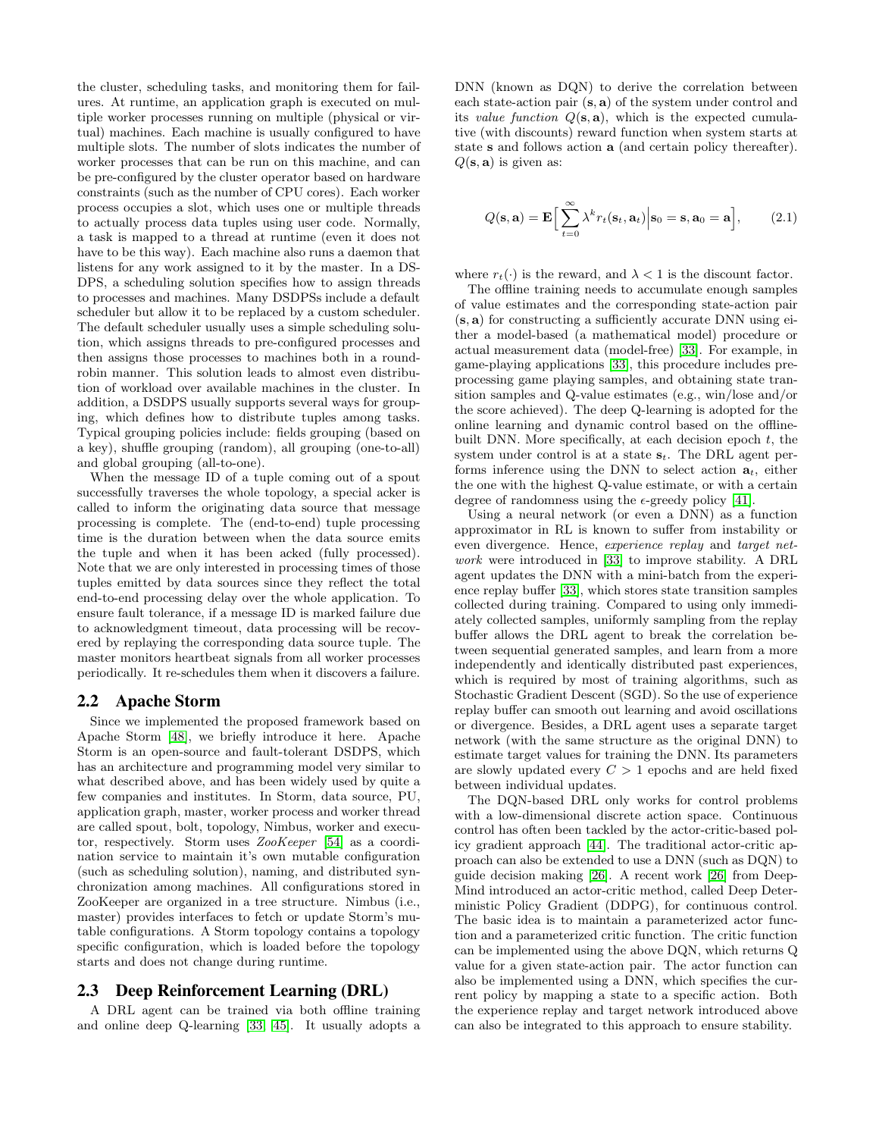the cluster, scheduling tasks, and monitoring them for failures. At runtime, an application graph is executed on multiple worker processes running on multiple (physical or virtual) machines. Each machine is usually configured to have multiple slots. The number of slots indicates the number of worker processes that can be run on this machine, and can be pre-configured by the cluster operator based on hardware constraints (such as the number of CPU cores). Each worker process occupies a slot, which uses one or multiple threads to actually process data tuples using user code. Normally, a task is mapped to a thread at runtime (even it does not have to be this way). Each machine also runs a daemon that listens for any work assigned to it by the master. In a DS-DPS, a scheduling solution specifies how to assign threads to processes and machines. Many DSDPSs include a default scheduler but allow it to be replaced by a custom scheduler. The default scheduler usually uses a simple scheduling solution, which assigns threads to pre-configured processes and then assigns those processes to machines both in a roundrobin manner. This solution leads to almost even distribution of workload over available machines in the cluster. In addition, a DSDPS usually supports several ways for grouping, which defines how to distribute tuples among tasks. Typical grouping policies include: fields grouping (based on a key), shuffle grouping (random), all grouping (one-to-all) and global grouping (all-to-one).

When the message ID of a tuple coming out of a spout successfully traverses the whole topology, a special acker is called to inform the originating data source that message processing is complete. The (end-to-end) tuple processing time is the duration between when the data source emits the tuple and when it has been acked (fully processed). Note that we are only interested in processing times of those tuples emitted by data sources since they reflect the total end-to-end processing delay over the whole application. To ensure fault tolerance, if a message ID is marked failure due to acknowledgment timeout, data processing will be recovered by replaying the corresponding data source tuple. The master monitors heartbeat signals from all worker processes periodically. It re-schedules them when it discovers a failure.

#### 2.2 Apache Storm

Since we implemented the proposed framework based on Apache Storm [\[48\]](#page-12-0), we briefly introduce it here. Apache Storm is an open-source and fault-tolerant DSDPS, which has an architecture and programming model very similar to what described above, and has been widely used by quite a few companies and institutes. In Storm, data source, PU, application graph, master, worker process and worker thread are called spout, bolt, topology, Nimbus, worker and executor, respectively. Storm uses ZooKeeper [\[54\]](#page-13-4) as a coordination service to maintain it's own mutable configuration (such as scheduling solution), naming, and distributed synchronization among machines. All configurations stored in ZooKeeper are organized in a tree structure. Nimbus (i.e., master) provides interfaces to fetch or update Storm's mutable configurations. A Storm topology contains a topology specific configuration, which is loaded before the topology starts and does not change during runtime.

#### <span id="page-2-0"></span>2.3 Deep Reinforcement Learning (DRL)

A DRL agent can be trained via both offline training and online deep Q-learning [\[33,](#page-12-7) [45\]](#page-12-8). It usually adopts a

DNN (known as DQN) to derive the correlation between each state-action pair (s, a) of the system under control and its value function  $Q(s, a)$ , which is the expected cumulative (with discounts) reward function when system starts at state s and follows action a (and certain policy thereafter).  $Q(\mathbf{s}, \mathbf{a})$  is given as:

$$
Q(\mathbf{s}, \mathbf{a}) = \mathbf{E} \Big[ \sum_{t=0}^{\infty} \lambda^k r_t(\mathbf{s}_t, \mathbf{a}_t) \Big| \mathbf{s}_0 = \mathbf{s}, \mathbf{a}_0 = \mathbf{a} \Big], \qquad (2.1)
$$

where  $r_t(\cdot)$  is the reward, and  $\lambda < 1$  is the discount factor.

The offline training needs to accumulate enough samples of value estimates and the corresponding state-action pair (s, a) for constructing a sufficiently accurate DNN using either a model-based (a mathematical model) procedure or actual measurement data (model-free) [\[33\]](#page-12-7). For example, in game-playing applications [\[33\]](#page-12-7), this procedure includes preprocessing game playing samples, and obtaining state transition samples and Q-value estimates (e.g., win/lose and/or the score achieved). The deep Q-learning is adopted for the online learning and dynamic control based on the offlinebuilt DNN. More specifically, at each decision epoch  $t$ , the system under control is at a state  $s_t$ . The DRL agent performs inference using the DNN to select action  $a_t$ , either the one with the highest Q-value estimate, or with a certain degree of randomness using the  $\epsilon$ -greedy policy [\[41\]](#page-12-9).

Using a neural network (or even a DNN) as a function approximator in RL is known to suffer from instability or even divergence. Hence, experience replay and target network were introduced in [\[33\]](#page-12-7) to improve stability. A DRL agent updates the DNN with a mini-batch from the experience replay buffer [\[33\]](#page-12-7), which stores state transition samples collected during training. Compared to using only immediately collected samples, uniformly sampling from the replay buffer allows the DRL agent to break the correlation between sequential generated samples, and learn from a more independently and identically distributed past experiences, which is required by most of training algorithms, such as Stochastic Gradient Descent (SGD). So the use of experience replay buffer can smooth out learning and avoid oscillations or divergence. Besides, a DRL agent uses a separate target network (with the same structure as the original DNN) to estimate target values for training the DNN. Its parameters are slowly updated every  $C > 1$  epochs and are held fixed between individual updates.

The DQN-based DRL only works for control problems with a low-dimensional discrete action space. Continuous control has often been tackled by the actor-critic-based policy gradient approach [\[44\]](#page-12-10). The traditional actor-critic approach can also be extended to use a DNN (such as DQN) to guide decision making [\[26\]](#page-12-11). A recent work [\[26\]](#page-12-11) from Deep-Mind introduced an actor-critic method, called Deep Deterministic Policy Gradient (DDPG), for continuous control. The basic idea is to maintain a parameterized actor function and a parameterized critic function. The critic function can be implemented using the above DQN, which returns Q value for a given state-action pair. The actor function can also be implemented using a DNN, which specifies the current policy by mapping a state to a specific action. Both the experience replay and target network introduced above can also be integrated to this approach to ensure stability.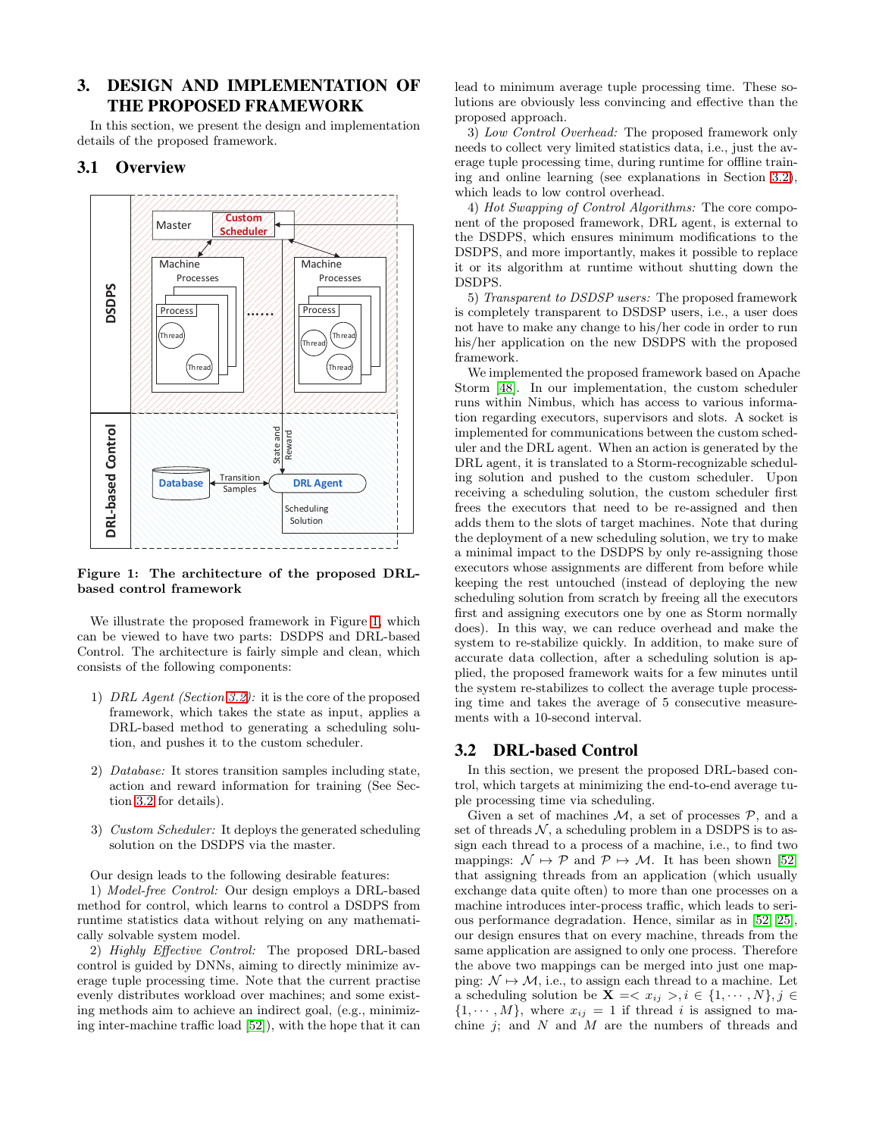# <span id="page-3-1"></span>3. DESIGN AND IMPLEMENTATION OF THE PROPOSED FRAMEWORK

In this section, we present the design and implementation details of the proposed framework.

## 3.1 Overview



#### <span id="page-3-2"></span>Figure 1: The architecture of the proposed DRLbased control framework

We illustrate the proposed framework in Figure [1,](#page-3-2) which can be viewed to have two parts: DSDPS and DRL-based Control. The architecture is fairly simple and clean, which consists of the following components:

- 1) DRL Agent (Section [3.2\)](#page-3-0): it is the core of the proposed framework, which takes the state as input, applies a DRL-based method to generating a scheduling solution, and pushes it to the custom scheduler.
- 2) Database: It stores transition samples including state, action and reward information for training (See Section [3.2](#page-3-0) for details).
- 3) Custom Scheduler: It deploys the generated scheduling solution on the DSDPS via the master.

Our design leads to the following desirable features:

1) Model-free Control: Our design employs a DRL-based method for control, which learns to control a DSDPS from runtime statistics data without relying on any mathematically solvable system model.

2) Highly Effective Control: The proposed DRL-based control is guided by DNNs, aiming to directly minimize average tuple processing time. Note that the current practise evenly distributes workload over machines; and some existing methods aim to achieve an indirect goal, (e.g., minimizing inter-machine traffic load [\[52\]](#page-13-0)), with the hope that it can lead to minimum average tuple processing time. These solutions are obviously less convincing and effective than the proposed approach.

3) Low Control Overhead: The proposed framework only needs to collect very limited statistics data, i.e., just the average tuple processing time, during runtime for offline training and online learning (see explanations in Section [3.2\)](#page-3-0), which leads to low control overhead.

4) Hot Swapping of Control Algorithms: The core component of the proposed framework, DRL agent, is external to the DSDPS, which ensures minimum modifications to the DSDPS, and more importantly, makes it possible to replace it or its algorithm at runtime without shutting down the DSDPS.

5) Transparent to DSDSP users: The proposed framework is completely transparent to DSDSP users, i.e., a user does not have to make any change to his/her code in order to run his/her application on the new DSDPS with the proposed framework.

We implemented the proposed framework based on Apache Storm [\[48\]](#page-12-0). In our implementation, the custom scheduler runs within Nimbus, which has access to various information regarding executors, supervisors and slots. A socket is implemented for communications between the custom scheduler and the DRL agent. When an action is generated by the DRL agent, it is translated to a Storm-recognizable scheduling solution and pushed to the custom scheduler. Upon receiving a scheduling solution, the custom scheduler first frees the executors that need to be re-assigned and then adds them to the slots of target machines. Note that during the deployment of a new scheduling solution, we try to make a minimal impact to the DSDPS by only re-assigning those executors whose assignments are different from before while keeping the rest untouched (instead of deploying the new scheduling solution from scratch by freeing all the executors first and assigning executors one by one as Storm normally does). In this way, we can reduce overhead and make the system to re-stabilize quickly. In addition, to make sure of accurate data collection, after a scheduling solution is applied, the proposed framework waits for a few minutes until the system re-stabilizes to collect the average tuple processing time and takes the average of 5 consecutive measurements with a 10-second interval.

#### <span id="page-3-0"></span>3.2 DRL-based Control

In this section, we present the proposed DRL-based control, which targets at minimizing the end-to-end average tuple processing time via scheduling.

Given a set of machines  $M$ , a set of processes  $P$ , and a set of threads  $N$ , a scheduling problem in a DSDPS is to assign each thread to a process of a machine, i.e., to find two mappings:  $\mathcal{N} \mapsto \mathcal{P}$  and  $\mathcal{P} \mapsto \mathcal{M}$ . It has been shown [\[52\]](#page-13-0) that assigning threads from an application (which usually exchange data quite often) to more than one processes on a machine introduces inter-process traffic, which leads to serious performance degradation. Hence, similar as in [\[52,](#page-13-0) [25\]](#page-12-5), our design ensures that on every machine, threads from the same application are assigned to only one process. Therefore the above two mappings can be merged into just one mapping:  $\mathcal{N} \mapsto \mathcal{M}$ , i.e., to assign each thread to a machine. Let a scheduling solution be  $\mathbf{X} = \langle x_{ij} \rangle, i \in \{1, \cdots, N\}, j \in$  $\{1, \dots, M\}$ , where  $x_{ij} = 1$  if thread i is assigned to machine  $j$ ; and  $N$  and  $M$  are the numbers of threads and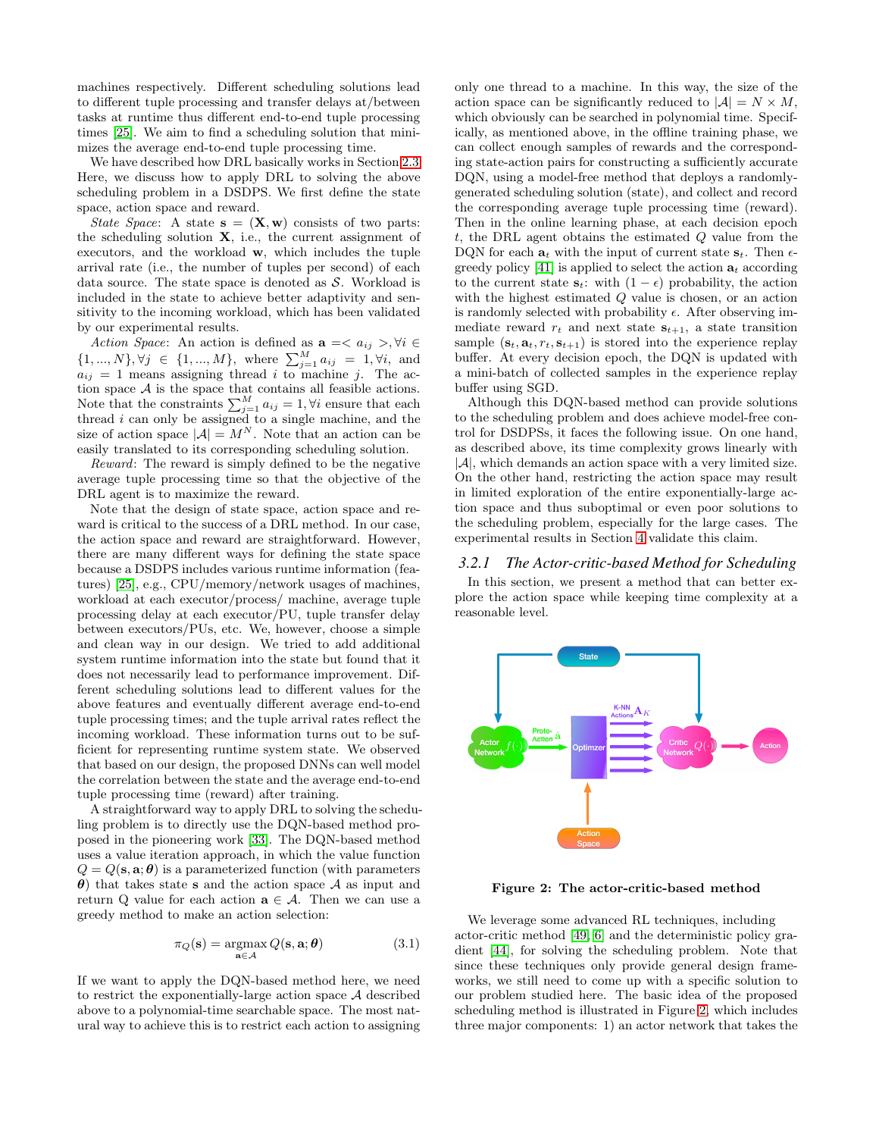machines respectively. Different scheduling solutions lead to different tuple processing and transfer delays at/between tasks at runtime thus different end-to-end tuple processing times [\[25\]](#page-12-5). We aim to find a scheduling solution that minimizes the average end-to-end tuple processing time.

We have described how DRL basically works in Section [2.3.](#page-2-0) Here, we discuss how to apply DRL to solving the above scheduling problem in a DSDPS. We first define the state space, action space and reward.

State Space: A state  $s = (X, w)$  consists of two parts: the scheduling solution  $X$ , i.e., the current assignment of executors, and the workload w, which includes the tuple arrival rate (i.e., the number of tuples per second) of each data source. The state space is denoted as  $S$ . Workload is included in the state to achieve better adaptivity and sensitivity to the incoming workload, which has been validated by our experimental results.

Action Space: An action is defined as  $\mathbf{a} = \langle a_{ij} \rangle, \forall i \in$  $\{1, ..., N\}, \forall j \in \{1, ..., M\}, \text{ where } \sum_{j=1}^{M} a_{ij} = 1, \forall i, \text{ and}$  $a_{ij} = 1$  means assigning thread i to machine j. The action space  $A$  is the space that contains all feasible actions. Note that the constraints  $\sum_{j=1}^{M} a_{ij} = 1, \forall i$  ensure that each thread i can only be assigned to a single machine, and the size of action space  $|\mathcal{A}| = M^N$ . Note that an action can be easily translated to its corresponding scheduling solution.

Reward: The reward is simply defined to be the negative average tuple processing time so that the objective of the DRL agent is to maximize the reward.

Note that the design of state space, action space and reward is critical to the success of a DRL method. In our case, the action space and reward are straightforward. However, there are many different ways for defining the state space because a DSDPS includes various runtime information (features) [\[25\]](#page-12-5), e.g., CPU/memory/network usages of machines, workload at each executor/process/ machine, average tuple processing delay at each executor/PU, tuple transfer delay between executors/PUs, etc. We, however, choose a simple and clean way in our design. We tried to add additional system runtime information into the state but found that it does not necessarily lead to performance improvement. Different scheduling solutions lead to different values for the above features and eventually different average end-to-end tuple processing times; and the tuple arrival rates reflect the incoming workload. These information turns out to be sufficient for representing runtime system state. We observed that based on our design, the proposed DNNs can well model the correlation between the state and the average end-to-end tuple processing time (reward) after training.

A straightforward way to apply DRL to solving the scheduling problem is to directly use the DQN-based method proposed in the pioneering work [\[33\]](#page-12-7). The DQN-based method uses a value iteration approach, in which the value function  $Q = Q(\mathbf{s}, \mathbf{a}; \boldsymbol{\theta})$  is a parameterized function (with parameters  $\theta$ ) that takes state **s** and the action space A as input and return Q value for each action  $a \in \mathcal{A}$ . Then we can use a greedy method to make an action selection:

$$
\pi_Q(\mathbf{s}) = \operatorname*{argmax}_{\mathbf{a} \in \mathcal{A}} Q(\mathbf{s}, \mathbf{a}; \boldsymbol{\theta})
$$
(3.1)

If we want to apply the DQN-based method here, we need to restrict the exponentially-large action space A described above to a polynomial-time searchable space. The most natural way to achieve this is to restrict each action to assigning only one thread to a machine. In this way, the size of the action space can be significantly reduced to  $|A| = N \times M$ , which obviously can be searched in polynomial time. Specifically, as mentioned above, in the offline training phase, we can collect enough samples of rewards and the corresponding state-action pairs for constructing a sufficiently accurate DQN, using a model-free method that deploys a randomlygenerated scheduling solution (state), and collect and record the corresponding average tuple processing time (reward). Then in the online learning phase, at each decision epoch t, the DRL agent obtains the estimated Q value from the DQN for each  $a_t$  with the input of current state  $s_t$ . Then  $\epsilon$ -greedy policy [\[41\]](#page-12-9) is applied to select the action  $a_t$  according to the current state  $s_t$ : with  $(1 - \epsilon)$  probability, the action with the highest estimated Q value is chosen, or an action is randomly selected with probability  $\epsilon$ . After observing immediate reward  $r_t$  and next state  $s_{t+1}$ , a state transition sample  $(\mathbf{s}_t, \mathbf{a}_t, r_t, \mathbf{s}_{t+1})$  is stored into the experience replay buffer. At every decision epoch, the DQN is updated with a mini-batch of collected samples in the experience replay buffer using SGD.

Although this DQN-based method can provide solutions to the scheduling problem and does achieve model-free control for DSDPSs, it faces the following issue. On one hand, as described above, its time complexity grows linearly with  $|\mathcal{A}|$ , which demands an action space with a very limited size. On the other hand, restricting the action space may result in limited exploration of the entire exponentially-large action space and thus suboptimal or even poor solutions to the scheduling problem, especially for the large cases. The experimental results in Section [4](#page-6-0) validate this claim.

#### <span id="page-4-1"></span>*3.2.1 The Actor-critic-based Method for Scheduling*

In this section, we present a method that can better explore the action space while keeping time complexity at a reasonable level.



<span id="page-4-0"></span>Figure 2: The actor-critic-based method

We leverage some advanced RL techniques, including actor-critic method [\[49,](#page-13-3) [6\]](#page-11-2) and the deterministic policy gradient [\[44\]](#page-12-10), for solving the scheduling problem. Note that since these techniques only provide general design frameworks, we still need to come up with a specific solution to our problem studied here. The basic idea of the proposed scheduling method is illustrated in Figure [2,](#page-4-0) which includes three major components: 1) an actor network that takes the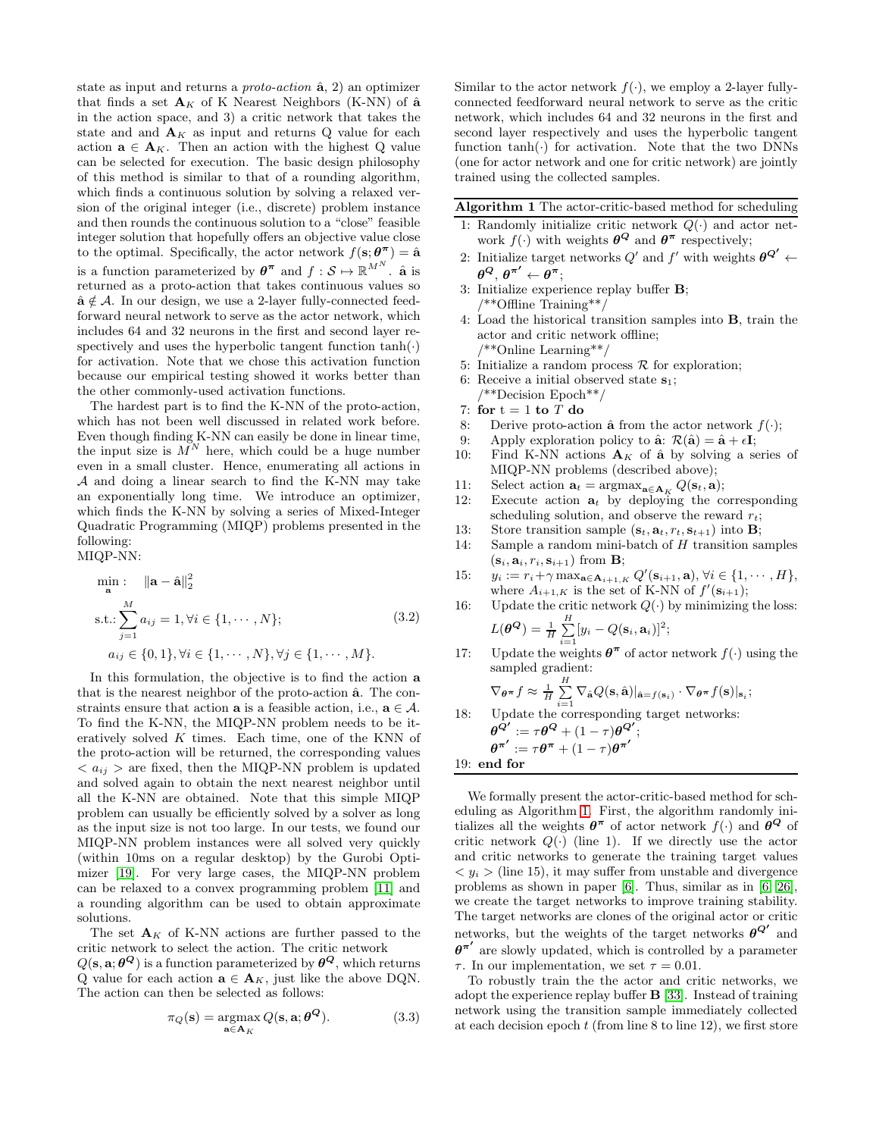state as input and returns a *proto-action*  $\hat{a}$ , 2) an optimizer that finds a set  $\mathbf{A}_K$  of K Nearest Neighbors (K-NN) of  $\hat{\mathbf{a}}$ in the action space, and 3) a critic network that takes the state and and  $\mathbf{A}_K$  as input and returns Q value for each action  $\mathbf{a} \in \mathbf{A}_K$ . Then an action with the highest Q value can be selected for execution. The basic design philosophy of this method is similar to that of a rounding algorithm, which finds a continuous solution by solving a relaxed version of the original integer (i.e., discrete) problem instance and then rounds the continuous solution to a "close" feasible integer solution that hopefully offers an objective value close to the optimal. Specifically, the actor network  $f(\mathbf{s}; \boldsymbol{\theta}^{\pi}) = \hat{\mathbf{a}}$ is a function parameterized by  $\boldsymbol{\theta}^{\boldsymbol{\pi}}$  and  $f : \mathcal{S} \mapsto \mathbb{R}^{M^N}$ .  $\hat{\mathbf{a}}$  is returned as a proto-action that takes continuous values so  $\hat{\mathbf{a}} \notin \mathcal{A}$ . In our design, we use a 2-layer fully-connected feedforward neural network to serve as the actor network, which includes 64 and 32 neurons in the first and second layer respectively and uses the hyperbolic tangent function  $tanh(\cdot)$ for activation. Note that we chose this activation function because our empirical testing showed it works better than the other commonly-used activation functions.

The hardest part is to find the K-NN of the proto-action, which has not been well discussed in related work before. Even though finding K-NN can easily be done in linear time, the input size is  $M^N$  here, which could be a huge number even in a small cluster. Hence, enumerating all actions in A and doing a linear search to find the K-NN may take an exponentially long time. We introduce an optimizer, which finds the K-NN by solving a series of Mixed-Integer Quadratic Programming (MIQP) problems presented in the following:

MIQP-NN:

$$
\min_{\mathbf{a}} : \|\mathbf{a} - \hat{\mathbf{a}}\|_{2}^{2}
$$
  
s.t.: 
$$
\sum_{j=1}^{M} a_{ij} = 1, \forall i \in \{1, \cdots, N\};
$$
  

$$
a_{ij} \in \{0, 1\}, \forall i \in \{1, \cdots, N\}, \forall j \in \{1, \cdots, M\}.
$$
 (3.2)

In this formulation, the objective is to find the action a that is the nearest neighbor of the proto-action  $\hat{a}$ . The constraints ensure that action **a** is a feasible action, i.e.,  $\mathbf{a} \in \mathcal{A}$ . To find the K-NN, the MIQP-NN problem needs to be iteratively solved  $K$  times. Each time, one of the KNN of the proto-action will be returned, the corresponding values  $\langle a_{ij} \rangle$  are fixed, then the MIQP-NN problem is updated and solved again to obtain the next nearest neighbor until all the K-NN are obtained. Note that this simple MIQP problem can usually be efficiently solved by a solver as long as the input size is not too large. In our tests, we found our MIQP-NN problem instances were all solved very quickly (within 10ms on a regular desktop) by the Gurobi Optimizer [\[19\]](#page-12-12). For very large cases, the MIQP-NN problem can be relaxed to a convex programming problem [\[11\]](#page-12-13) and a rounding algorithm can be used to obtain approximate solutions.

The set  $\mathbf{A}_K$  of K-NN actions are further passed to the critic network to select the action. The critic network  $Q(\mathbf{s}, \mathbf{a}; \theta^{\mathbf{Q}})$  is a function parameterized by  $\theta^{\mathbf{Q}}$ , which returns Q value for each action  $\mathbf{a} \in \mathbf{A}_K$ , just like the above DQN.

 $\mathbf{a}\in\mathbf{A}_K$ 

The action can then be selected as follows:  
\n
$$
\pi_Q(\mathbf{s}) = \operatorname{argmax} Q(\mathbf{s}, \mathbf{a}; \theta^Q).
$$
\n(3.3)

Similar to the actor network  $f(\cdot)$ , we employ a 2-layer fullyconnected feedforward neural network to serve as the critic network, which includes 64 and 32 neurons in the first and second layer respectively and uses the hyperbolic tangent function  $tanh(\cdot)$  for activation. Note that the two DNNs (one for actor network and one for critic network) are jointly trained using the collected samples.

<span id="page-5-0"></span>Algorithm 1 The actor-critic-based method for scheduling

- 1: Randomly initialize critic network  $Q(\cdot)$  and actor network  $f(\cdot)$  with weights  $\boldsymbol{\theta}^{\mathbf{Q}}$  and  $\boldsymbol{\theta}^{\boldsymbol{\pi}}$  respectively;
- 2: Initialize target networks  $Q'$  and  $f'$  with weights  $\boldsymbol{\theta}^{Q'}$   $\leftarrow$  $\theta^{\boldsymbol{Q}},\, \theta^{\boldsymbol{\pi}'} \leftarrow \stackrel{\sim}{\theta^{\boldsymbol{\pi}}};$
- 3: Initialize experience replay buffer B; /\*\*Offline Training\*\*/
- 4: Load the historical transition samples into B, train the actor and critic network offline; /\*\*Online Learning\*\*/
- 5: Initialize a random process  $R$  for exploration;
- 6: Receive a initial observed state  $s_1$ ; /\*\*Decision Epoch\*\*/
- 7: for  $t = 1$  to  $T$  do
- 8: Derive proto-action  $\hat{\mathbf{a}}$  from the actor network  $f(\cdot);$
- 9: Apply exploration policy to  $\hat{\mathbf{a}}$ :  $\mathcal{R}(\hat{\mathbf{a}}) = \hat{\mathbf{a}} + \epsilon \mathbf{I}$ ;
- 10: Find K-NN actions  $A_K$  of  $\hat{a}$  by solving a series of MIQP-NN problems (described above);
- 11: Select action  $\mathbf{a}_t = \arg \max_{\mathbf{a} \in \mathbf{A}_K} Q(\mathbf{s}_t, \mathbf{a});$ <br>12: Execute action  $\mathbf{a}_t$  by deploying the co
- Execute action  $a_t$  by deploying the corresponding scheduling solution, and observe the reward  $r_t$ ;
- 13: Store transition sample  $(\mathbf{s}_t, \mathbf{a}_t, r_t, \mathbf{s}_{t+1})$  into **B**;
- 14: Sample a random mini-batch of H transition samples  $(\mathbf{s}_i, \mathbf{a}_i, r_i, \mathbf{s}_{i+1})$  from **B**;
- 15:  $y_i := r_i + \gamma \max_{\mathbf{a} \in \mathbf{A}_{i+1,K}} Q'(\mathbf{s}_{i+1}, \mathbf{a}), \forall i \in \{1, \cdots, H\},\$ where  $A_{i+1,K}$  is the set of K-NN of  $f'(\mathbf{s}_{i+1});$
- 16: Update the critic network  $Q(\cdot)$  by minimizing the loss:

$$
L(\boldsymbol{\theta}^{\mathbf{Q}}) = \frac{1}{H} \sum_{i=1}^{H} [y_i - Q(\mathbf{s}_i, \mathbf{a}_i)]^2;
$$

17: Update the weights  $\boldsymbol{\theta}^{\boldsymbol{\pi}}$  of actor network  $f(\cdot)$  using the sampled gradient:

$$
\nabla_{\theta^{\pi}} f \approx \frac{1}{H} \sum_{i=1}^{H} \nabla_{\hat{\mathbf{a}}} Q(\mathbf{s}, \hat{\mathbf{a}})|_{\hat{\mathbf{a}} = f(\mathbf{s}_i)} \cdot \nabla_{\theta^{\pi}} f(\mathbf{s})|_{\mathbf{s}_i};
$$

18: Update the corresponding target networks:  $\boldsymbol{\theta}^{\boldsymbol{\dot{Q}'}}:=\tau\boldsymbol{\theta^Q}+(1-\tau)\boldsymbol{\theta^Q}^{\prime};$ 

$$
\theta^{\pi'} := \tau \theta^{\pi} + (1 - \tau) \theta^{\pi'}
$$
  
19: end for

We formally present the actor-critic-based method for scheduling as Algorithm [1.](#page-5-0) First, the algorithm randomly initializes all the weights  $\boldsymbol{\theta}^{\boldsymbol{\pi}}$  of actor network  $f(\cdot)$  and  $\boldsymbol{\theta}^{\boldsymbol{Q}}$  of critic network  $Q(\cdot)$  (line 1). If we directly use the actor and critic networks to generate the training target values  $\langle y_i \rangle$  (line 15), it may suffer from unstable and divergence problems as shown in paper [\[6\]](#page-11-2). Thus, similar as in [\[6,](#page-11-2) [26\]](#page-12-11), we create the target networks to improve training stability. The target networks are clones of the original actor or critic networks, but the weights of the target networks  $\theta^{Q'}$  and  $\boldsymbol{\theta}^{\pi'}$  are slowly updated, which is controlled by a parameter  $\tau$ . In our implementation, we set  $\tau = 0.01$ .

To robustly train the the actor and critic networks, we adopt the experience replay buffer B [\[33\]](#page-12-7). Instead of training network using the transition sample immediately collected at each decision epoch  $t$  (from line 8 to line 12), we first store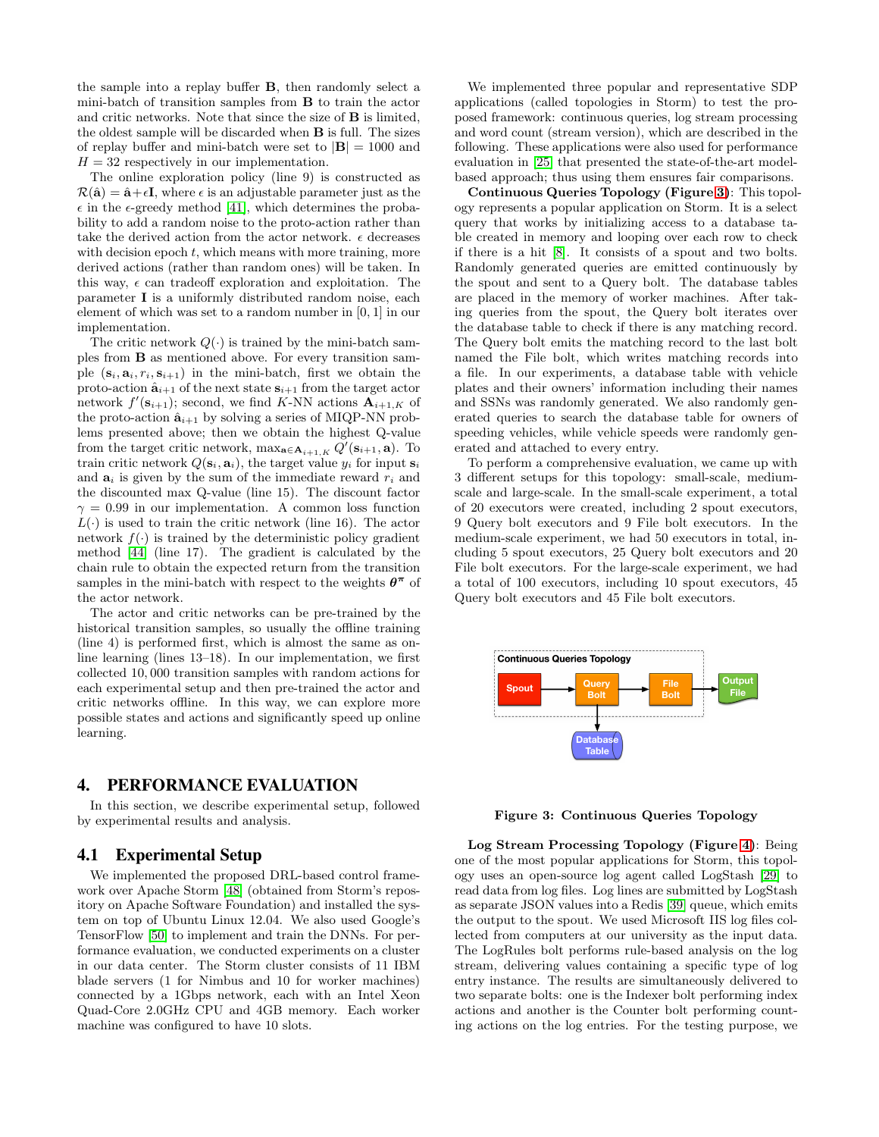the sample into a replay buffer B, then randomly select a mini-batch of transition samples from B to train the actor and critic networks. Note that since the size of B is limited, the oldest sample will be discarded when B is full. The sizes of replay buffer and mini-batch were set to  $|\mathbf{B}| = 1000$  and  $H = 32$  respectively in our implementation.

The online exploration policy (line 9) is constructed as  $\mathcal{R}(\hat{\mathbf{a}}) = \hat{\mathbf{a}} + \epsilon \mathbf{I}$ , where  $\epsilon$  is an adjustable parameter just as the  $\epsilon$  in the  $\epsilon$ -greedy method [\[41\]](#page-12-9), which determines the probability to add a random noise to the proto-action rather than take the derived action from the actor network.  $\epsilon$  decreases with decision epoch  $t$ , which means with more training, more derived actions (rather than random ones) will be taken. In this way,  $\epsilon$  can tradeoff exploration and exploitation. The parameter I is a uniformly distributed random noise, each element of which was set to a random number in [0, 1] in our implementation.

The critic network  $Q(\cdot)$  is trained by the mini-batch samples from B as mentioned above. For every transition sample  $(\mathbf{s}_i, \mathbf{a}_i, r_i, \mathbf{s}_{i+1})$  in the mini-batch, first we obtain the proto-action  $\hat{\mathbf{a}}_{i+1}$  of the next state  $\mathbf{s}_{i+1}$  from the target actor network  $f'(\mathbf{s}_{i+1})$ ; second, we find K-NN actions  $\mathbf{A}_{i+1,K}$  of the proto-action  $\hat{\mathbf{a}}_{i+1}$  by solving a series of MIQP-NN problems presented above; then we obtain the highest Q-value from the target critic network,  $\max_{\mathbf{a}\in\mathbf{A}_{i+1,K}} Q'(\mathbf{s}_{i+1}, \mathbf{a})$ . To train critic network  $Q(\mathbf{s}_i, \mathbf{a}_i)$ , the target value  $y_i$  for input  $\mathbf{s}_i$ and  $a_i$  is given by the sum of the immediate reward  $r_i$  and the discounted max Q-value (line 15). The discount factor  $\gamma = 0.99$  in our implementation. A common loss function  $L(\cdot)$  is used to train the critic network (line 16). The actor network  $f(\cdot)$  is trained by the deterministic policy gradient method [\[44\]](#page-12-10) (line 17). The gradient is calculated by the chain rule to obtain the expected return from the transition samples in the mini-batch with respect to the weights  $\boldsymbol{\theta}^{\pi}$  of the actor network.

The actor and critic networks can be pre-trained by the historical transition samples, so usually the offline training (line 4) is performed first, which is almost the same as online learning (lines 13–18). In our implementation, we first collected 10, 000 transition samples with random actions for each experimental setup and then pre-trained the actor and critic networks offline. In this way, we can explore more possible states and actions and significantly speed up online learning.

#### <span id="page-6-0"></span>4. PERFORMANCE EVALUATION

In this section, we describe experimental setup, followed by experimental results and analysis.

#### 4.1 Experimental Setup

We implemented the proposed DRL-based control framework over Apache Storm [\[48\]](#page-12-0) (obtained from Storm's repository on Apache Software Foundation) and installed the system on top of Ubuntu Linux 12.04. We also used Google's TensorFlow [\[50\]](#page-13-5) to implement and train the DNNs. For performance evaluation, we conducted experiments on a cluster in our data center. The Storm cluster consists of 11 IBM blade servers (1 for Nimbus and 10 for worker machines) connected by a 1Gbps network, each with an Intel Xeon Quad-Core 2.0GHz CPU and 4GB memory. Each worker machine was configured to have 10 slots.

We implemented three popular and representative SDP applications (called topologies in Storm) to test the proposed framework: continuous queries, log stream processing and word count (stream version), which are described in the following. These applications were also used for performance evaluation in [\[25\]](#page-12-5) that presented the state-of-the-art modelbased approach; thus using them ensures fair comparisons.

Continuous Queries Topology (Figure [3\)](#page-6-1): This topology represents a popular application on Storm. It is a select query that works by initializing access to a database table created in memory and looping over each row to check if there is a hit [\[8\]](#page-11-3). It consists of a spout and two bolts. Randomly generated queries are emitted continuously by the spout and sent to a Query bolt. The database tables are placed in the memory of worker machines. After taking queries from the spout, the Query bolt iterates over the database table to check if there is any matching record. The Query bolt emits the matching record to the last bolt named the File bolt, which writes matching records into a file. In our experiments, a database table with vehicle plates and their owners' information including their names and SSNs was randomly generated. We also randomly generated queries to search the database table for owners of speeding vehicles, while vehicle speeds were randomly generated and attached to every entry.

To perform a comprehensive evaluation, we came up with 3 different setups for this topology: small-scale, mediumscale and large-scale. In the small-scale experiment, a total of 20 executors were created, including 2 spout executors, 9 Query bolt executors and 9 File bolt executors. In the medium-scale experiment, we had 50 executors in total, including 5 spout executors, 25 Query bolt executors and 20 File bolt executors. For the large-scale experiment, we had a total of 100 executors, including 10 spout executors, 45 Query bolt executors and 45 File bolt executors.



<span id="page-6-1"></span>Figure 3: Continuous Queries Topology

Log Stream Processing Topology (Figure [4\)](#page-7-0): Being one of the most popular applications for Storm, this topology uses an open-source log agent called LogStash [\[29\]](#page-12-14) to read data from log files. Log lines are submitted by LogStash as separate JSON values into a Redis [\[39\]](#page-12-15) queue, which emits the output to the spout. We used Microsoft IIS log files collected from computers at our university as the input data. The LogRules bolt performs rule-based analysis on the log stream, delivering values containing a specific type of log entry instance. The results are simultaneously delivered to two separate bolts: one is the Indexer bolt performing index actions and another is the Counter bolt performing counting actions on the log entries. For the testing purpose, we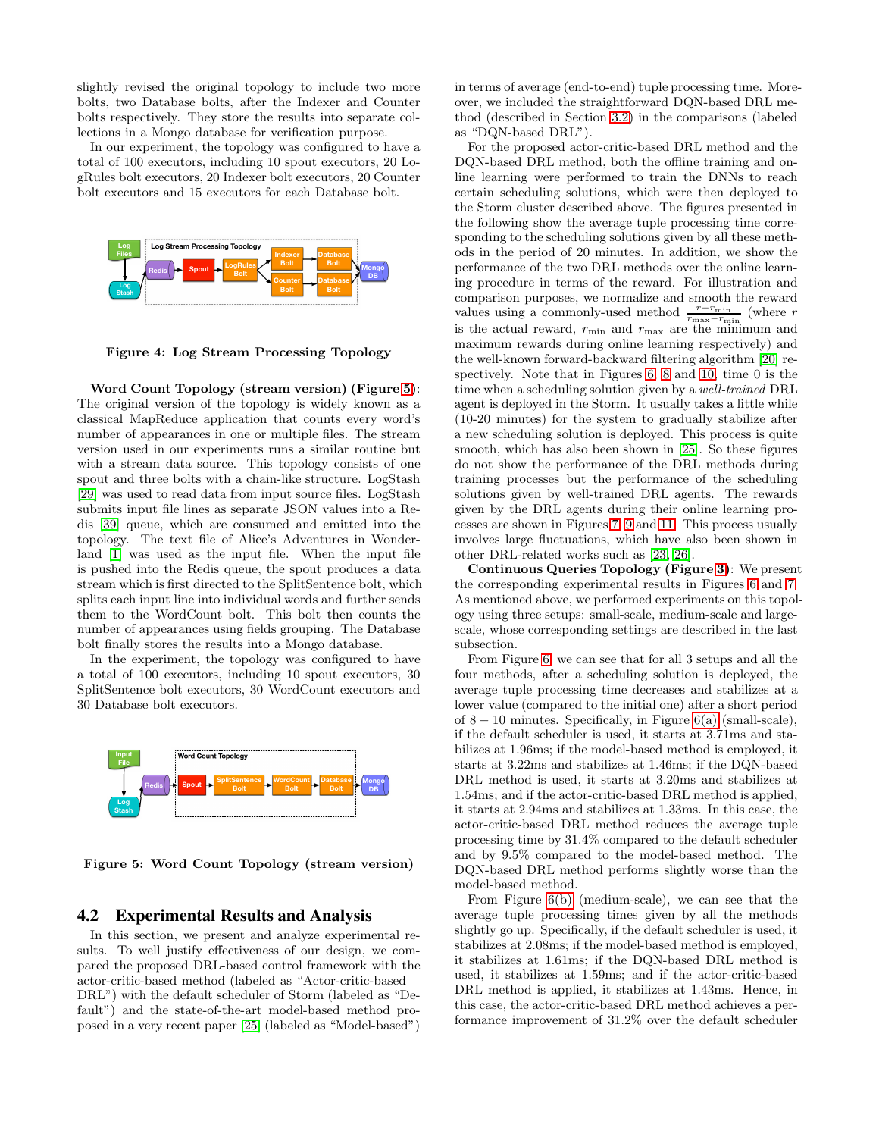slightly revised the original topology to include two more bolts, two Database bolts, after the Indexer and Counter bolts respectively. They store the results into separate collections in a Mongo database for verification purpose.

In our experiment, the topology was configured to have a total of 100 executors, including 10 spout executors, 20 LogRules bolt executors, 20 Indexer bolt executors, 20 Counter bolt executors and 15 executors for each Database bolt.



<span id="page-7-0"></span>Figure 4: Log Stream Processing Topology

Word Count Topology (stream version) (Figure [5\)](#page-7-1): The original version of the topology is widely known as a classical MapReduce application that counts every word's number of appearances in one or multiple files. The stream version used in our experiments runs a similar routine but with a stream data source. This topology consists of one spout and three bolts with a chain-like structure. LogStash [\[29\]](#page-12-14) was used to read data from input source files. LogStash submits input file lines as separate JSON values into a Redis [\[39\]](#page-12-15) queue, which are consumed and emitted into the topology. The text file of Alice's Adventures in Wonderland [\[1\]](#page-11-4) was used as the input file. When the input file is pushed into the Redis queue, the spout produces a data stream which is first directed to the SplitSentence bolt, which splits each input line into individual words and further sends them to the WordCount bolt. This bolt then counts the number of appearances using fields grouping. The Database bolt finally stores the results into a Mongo database.

In the experiment, the topology was configured to have a total of 100 executors, including 10 spout executors, 30 SplitSentence bolt executors, 30 WordCount executors and 30 Database bolt executors.



<span id="page-7-1"></span>Figure 5: Word Count Topology (stream version)

#### 4.2 Experimental Results and Analysis

In this section, we present and analyze experimental results. To well justify effectiveness of our design, we compared the proposed DRL-based control framework with the actor-critic-based method (labeled as "Actor-critic-based DRL") with the default scheduler of Storm (labeled as "Default") and the state-of-the-art model-based method proposed in a very recent paper [\[25\]](#page-12-5) (labeled as "Model-based")

in terms of average (end-to-end) tuple processing time. Moreover, we included the straightforward DQN-based DRL method (described in Section [3.2\)](#page-3-0) in the comparisons (labeled as "DQN-based DRL").

For the proposed actor-critic-based DRL method and the DQN-based DRL method, both the offline training and online learning were performed to train the DNNs to reach certain scheduling solutions, which were then deployed to the Storm cluster described above. The figures presented in the following show the average tuple processing time corresponding to the scheduling solutions given by all these methods in the period of 20 minutes. In addition, we show the performance of the two DRL methods over the online learning procedure in terms of the reward. For illustration and comparison purposes, we normalize and smooth the reward values using a commonly-used method  $\frac{r-r_{\text{min}}}{r_{\text{max}}-r_{\text{min}}}$  (where r is the actual reward,  $r_{\min}$  and  $r_{\max}$  are the minimum and maximum rewards during online learning respectively) and the well-known forward-backward filtering algorithm [\[20\]](#page-12-16) respectively. Note that in Figures [6,](#page-8-0) [8](#page-9-0) and [10,](#page-9-1) time 0 is the time when a scheduling solution given by a well-trained DRL agent is deployed in the Storm. It usually takes a little while (10-20 minutes) for the system to gradually stabilize after a new scheduling solution is deployed. This process is quite smooth, which has also been shown in [\[25\]](#page-12-5). So these figures do not show the performance of the DRL methods during training processes but the performance of the scheduling solutions given by well-trained DRL agents. The rewards given by the DRL agents during their online learning processes are shown in Figures [7,](#page-8-1) [9](#page-9-2) and [11.](#page-9-3) This process usually involves large fluctuations, which have also been shown in other DRL-related works such as [\[23,](#page-12-17) [26\]](#page-12-11).

Continuous Queries Topology (Figure [3\)](#page-6-1): We present the corresponding experimental results in Figures [6](#page-8-0) and [7.](#page-8-1) As mentioned above, we performed experiments on this topology using three setups: small-scale, medium-scale and largescale, whose corresponding settings are described in the last subsection.

From Figure [6,](#page-8-0) we can see that for all 3 setups and all the four methods, after a scheduling solution is deployed, the average tuple processing time decreases and stabilizes at a lower value (compared to the initial one) after a short period of  $8 - 10$  minutes. Specifically, in Figure [6\(a\)](#page-8-2) (small-scale), if the default scheduler is used, it starts at 3.71ms and stabilizes at 1.96ms; if the model-based method is employed, it starts at 3.22ms and stabilizes at 1.46ms; if the DQN-based DRL method is used, it starts at 3.20ms and stabilizes at 1.54ms; and if the actor-critic-based DRL method is applied, it starts at 2.94ms and stabilizes at 1.33ms. In this case, the actor-critic-based DRL method reduces the average tuple processing time by 31.4% compared to the default scheduler and by 9.5% compared to the model-based method. The DQN-based DRL method performs slightly worse than the model-based method.

From Figure [6\(b\)](#page-8-3) (medium-scale), we can see that the average tuple processing times given by all the methods slightly go up. Specifically, if the default scheduler is used, it stabilizes at 2.08ms; if the model-based method is employed, it stabilizes at 1.61ms; if the DQN-based DRL method is used, it stabilizes at 1.59ms; and if the actor-critic-based DRL method is applied, it stabilizes at 1.43ms. Hence, in this case, the actor-critic-based DRL method achieves a performance improvement of 31.2% over the default scheduler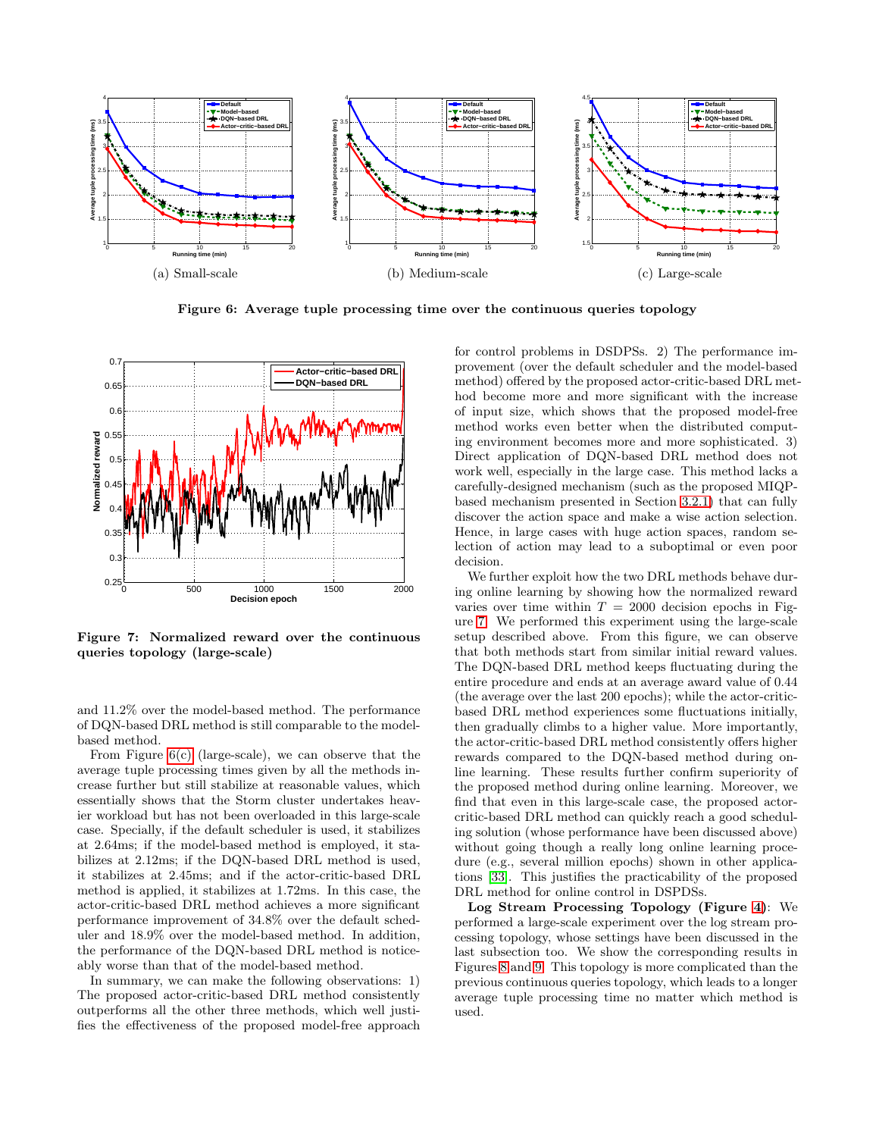

<span id="page-8-3"></span><span id="page-8-0"></span>Figure 6: Average tuple processing time over the continuous queries topology

<span id="page-8-2"></span>

<span id="page-8-1"></span>Figure 7: Normalized reward over the continuous queries topology (large-scale)

and 11.2% over the model-based method. The performance of DQN-based DRL method is still comparable to the modelbased method.

From Figure [6\(c\)](#page-8-4) (large-scale), we can observe that the average tuple processing times given by all the methods increase further but still stabilize at reasonable values, which essentially shows that the Storm cluster undertakes heavier workload but has not been overloaded in this large-scale case. Specially, if the default scheduler is used, it stabilizes at 2.64ms; if the model-based method is employed, it stabilizes at 2.12ms; if the DQN-based DRL method is used, it stabilizes at 2.45ms; and if the actor-critic-based DRL method is applied, it stabilizes at 1.72ms. In this case, the actor-critic-based DRL method achieves a more significant performance improvement of 34.8% over the default scheduler and 18.9% over the model-based method. In addition, the performance of the DQN-based DRL method is noticeably worse than that of the model-based method.

In summary, we can make the following observations: 1) The proposed actor-critic-based DRL method consistently outperforms all the other three methods, which well justifies the effectiveness of the proposed model-free approach <span id="page-8-4"></span>for control problems in DSDPSs. 2) The performance improvement (over the default scheduler and the model-based method) offered by the proposed actor-critic-based DRL method become more and more significant with the increase of input size, which shows that the proposed model-free method works even better when the distributed computing environment becomes more and more sophisticated. 3) Direct application of DQN-based DRL method does not work well, especially in the large case. This method lacks a carefully-designed mechanism (such as the proposed MIQPbased mechanism presented in Section [3.2.1\)](#page-4-1) that can fully discover the action space and make a wise action selection. Hence, in large cases with huge action spaces, random selection of action may lead to a suboptimal or even poor decision.

We further exploit how the two DRL methods behave during online learning by showing how the normalized reward varies over time within  $T = 2000$  decision epochs in Figure [7.](#page-8-1) We performed this experiment using the large-scale setup described above. From this figure, we can observe that both methods start from similar initial reward values. The DQN-based DRL method keeps fluctuating during the entire procedure and ends at an average award value of 0.44 (the average over the last 200 epochs); while the actor-criticbased DRL method experiences some fluctuations initially, then gradually climbs to a higher value. More importantly, the actor-critic-based DRL method consistently offers higher rewards compared to the DQN-based method during online learning. These results further confirm superiority of the proposed method during online learning. Moreover, we find that even in this large-scale case, the proposed actorcritic-based DRL method can quickly reach a good scheduling solution (whose performance have been discussed above) without going though a really long online learning procedure (e.g., several million epochs) shown in other applications [\[33\]](#page-12-7). This justifies the practicability of the proposed DRL method for online control in DSPDSs.

Log Stream Processing Topology (Figure [4\)](#page-7-0): We performed a large-scale experiment over the log stream processing topology, whose settings have been discussed in the last subsection too. We show the corresponding results in Figures [8](#page-9-0) and [9.](#page-9-2) This topology is more complicated than the previous continuous queries topology, which leads to a longer average tuple processing time no matter which method is used.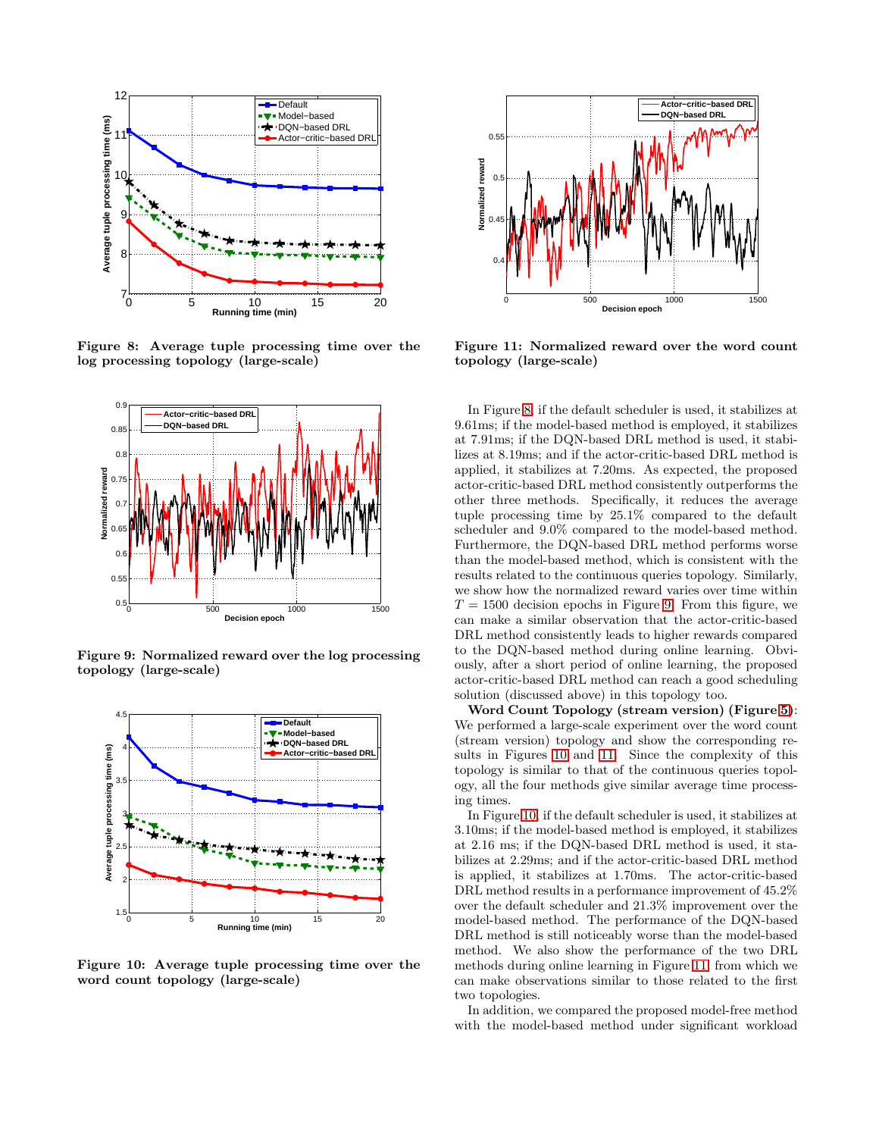

Figure 8: Average tuple processing time over the log processing topology (large-scale)

<span id="page-9-0"></span>

Figure 9: Normalized reward over the log processing topology (large-scale)

<span id="page-9-2"></span>

<span id="page-9-1"></span>Figure 10: Average tuple processing time over the word count topology (large-scale)



<span id="page-9-3"></span>Figure 11: Normalized reward over the word count topology (large-scale)

In Figure [8,](#page-9-0) if the default scheduler is used, it stabilizes at 9.61ms; if the model-based method is employed, it stabilizes at 7.91ms; if the DQN-based DRL method is used, it stabilizes at 8.19ms; and if the actor-critic-based DRL method is applied, it stabilizes at 7.20ms. As expected, the proposed actor-critic-based DRL method consistently outperforms the other three methods. Specifically, it reduces the average tuple processing time by 25.1% compared to the default scheduler and 9.0% compared to the model-based method. Furthermore, the DQN-based DRL method performs worse than the model-based method, which is consistent with the results related to the continuous queries topology. Similarly, we show how the normalized reward varies over time within  $T = 1500$  decision epochs in Figure [9.](#page-9-2) From this figure, we can make a similar observation that the actor-critic-based DRL method consistently leads to higher rewards compared to the DQN-based method during online learning. Obviously, after a short period of online learning, the proposed actor-critic-based DRL method can reach a good scheduling solution (discussed above) in this topology too.

Word Count Topology (stream version) (Figure [5\)](#page-7-1): We performed a large-scale experiment over the word count (stream version) topology and show the corresponding results in Figures [10](#page-9-1) and [11.](#page-9-3) Since the complexity of this topology is similar to that of the continuous queries topology, all the four methods give similar average time processing times.

In Figure [10,](#page-9-1) if the default scheduler is used, it stabilizes at 3.10ms; if the model-based method is employed, it stabilizes at 2.16 ms; if the DQN-based DRL method is used, it stabilizes at 2.29ms; and if the actor-critic-based DRL method is applied, it stabilizes at 1.70ms. The actor-critic-based DRL method results in a performance improvement of 45.2% over the default scheduler and 21.3% improvement over the model-based method. The performance of the DQN-based DRL method is still noticeably worse than the model-based method. We also show the performance of the two DRL methods during online learning in Figure [11,](#page-9-3) from which we can make observations similar to those related to the first two topologies.

In addition, we compared the proposed model-free method with the model-based method under significant workload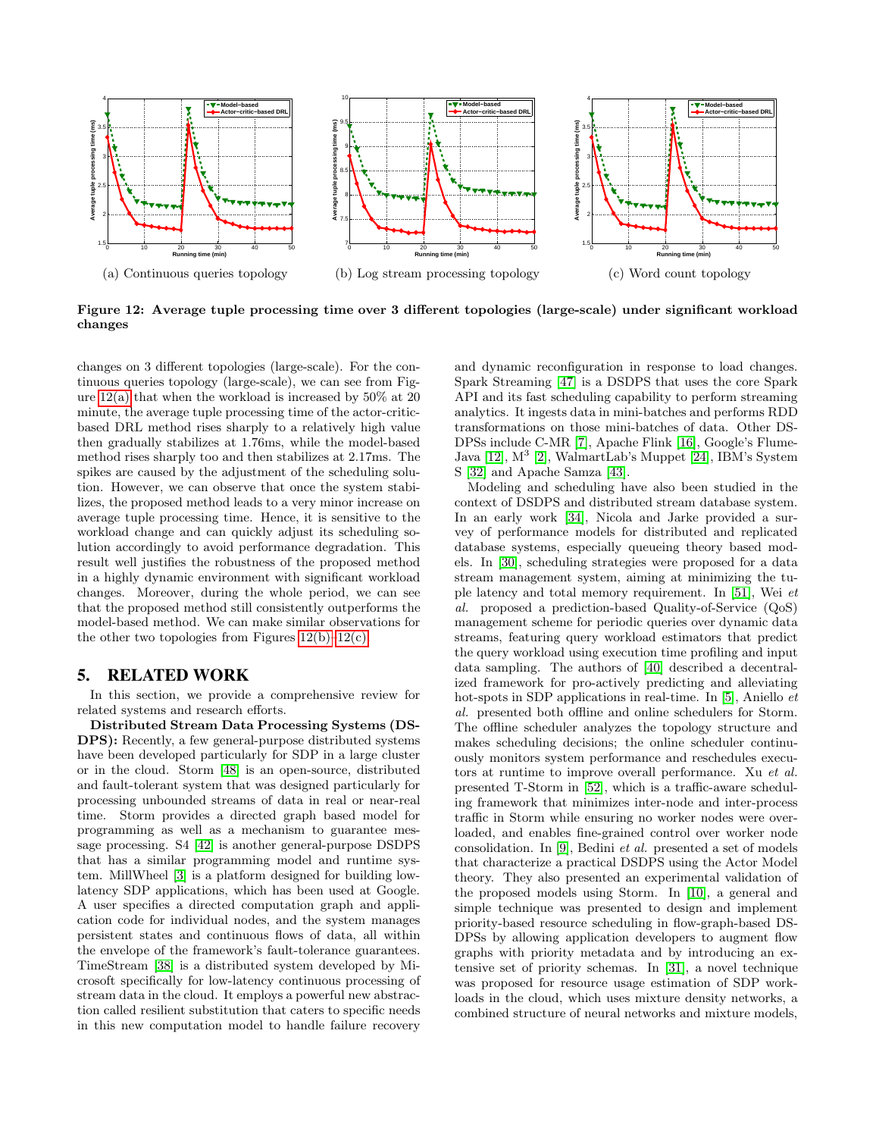

<span id="page-10-1"></span>Figure 12: Average tuple processing time over 3 different topologies (large-scale) under significant workload changes

changes on 3 different topologies (large-scale). For the continuous queries topology (large-scale), we can see from Figure [12\(a\)](#page-10-1) that when the workload is increased by 50% at 20 minute, the average tuple processing time of the actor-criticbased DRL method rises sharply to a relatively high value then gradually stabilizes at 1.76ms, while the model-based method rises sharply too and then stabilizes at 2.17ms. The spikes are caused by the adjustment of the scheduling solution. However, we can observe that once the system stabilizes, the proposed method leads to a very minor increase on average tuple processing time. Hence, it is sensitive to the workload change and can quickly adjust its scheduling solution accordingly to avoid performance degradation. This result well justifies the robustness of the proposed method in a highly dynamic environment with significant workload changes. Moreover, during the whole period, we can see that the proposed method still consistently outperforms the model-based method. We can make similar observations for the other two topologies from Figures  $12(b)-12(c)$ .

## <span id="page-10-0"></span>5. RELATED WORK

In this section, we provide a comprehensive review for related systems and research efforts.

Distributed Stream Data Processing Systems (DS-DPS): Recently, a few general-purpose distributed systems have been developed particularly for SDP in a large cluster or in the cloud. Storm [\[48\]](#page-12-0) is an open-source, distributed and fault-tolerant system that was designed particularly for processing unbounded streams of data in real or near-real time. Storm provides a directed graph based model for programming as well as a mechanism to guarantee message processing. S4 [\[42\]](#page-12-18) is another general-purpose DSDPS that has a similar programming model and runtime system. MillWheel [\[3\]](#page-11-0) is a platform designed for building lowlatency SDP applications, which has been used at Google. A user specifies a directed computation graph and application code for individual nodes, and the system manages persistent states and continuous flows of data, all within the envelope of the framework's fault-tolerance guarantees. TimeStream [\[38\]](#page-12-19) is a distributed system developed by Microsoft specifically for low-latency continuous processing of stream data in the cloud. It employs a powerful new abstraction called resilient substitution that caters to specific needs in this new computation model to handle failure recovery

<span id="page-10-3"></span><span id="page-10-2"></span>and dynamic reconfiguration in response to load changes. Spark Streaming [\[47\]](#page-12-20) is a DSDPS that uses the core Spark API and its fast scheduling capability to perform streaming analytics. It ingests data in mini-batches and performs RDD transformations on those mini-batches of data. Other DS-DPSs include C-MR [\[7\]](#page-11-5), Apache Flink [\[16\]](#page-12-21), Google's Flume-Java [\[12\]](#page-12-22), M<sup>3</sup> [\[2\]](#page-11-6), WalmartLab's Muppet [\[24\]](#page-12-23), IBM's System S [\[32\]](#page-12-24) and Apache Samza [\[43\]](#page-12-25).

Modeling and scheduling have also been studied in the context of DSDPS and distributed stream database system. In an early work [\[34\]](#page-12-4), Nicola and Jarke provided a survey of performance models for distributed and replicated database systems, especially queueing theory based models. In [\[30\]](#page-12-26), scheduling strategies were proposed for a data stream management system, aiming at minimizing the tuple latency and total memory requirement. In [\[51\]](#page-13-6), Wei et al. proposed a prediction-based Quality-of-Service (QoS) management scheme for periodic queries over dynamic data streams, featuring query workload estimators that predict the query workload using execution time profiling and input data sampling. The authors of [\[40\]](#page-12-27) described a decentralized framework for pro-actively predicting and alleviating hot-spots in SDP applications in real-time. In [\[5\]](#page-11-7), Aniello *et* al. presented both offline and online schedulers for Storm. The offline scheduler analyzes the topology structure and makes scheduling decisions; the online scheduler continuously monitors system performance and reschedules executors at runtime to improve overall performance. Xu et al. presented T-Storm in [\[52\]](#page-13-0), which is a traffic-aware scheduling framework that minimizes inter-node and inter-process traffic in Storm while ensuring no worker nodes were overloaded, and enables fine-grained control over worker node consolidation. In [\[9\]](#page-11-8), Bedini et al. presented a set of models that characterize a practical DSDPS using the Actor Model theory. They also presented an experimental validation of the proposed models using Storm. In [\[10\]](#page-12-28), a general and simple technique was presented to design and implement priority-based resource scheduling in flow-graph-based DS-DPSs by allowing application developers to augment flow graphs with priority metadata and by introducing an extensive set of priority schemas. In [\[31\]](#page-12-29), a novel technique was proposed for resource usage estimation of SDP workloads in the cloud, which uses mixture density networks, a combined structure of neural networks and mixture models,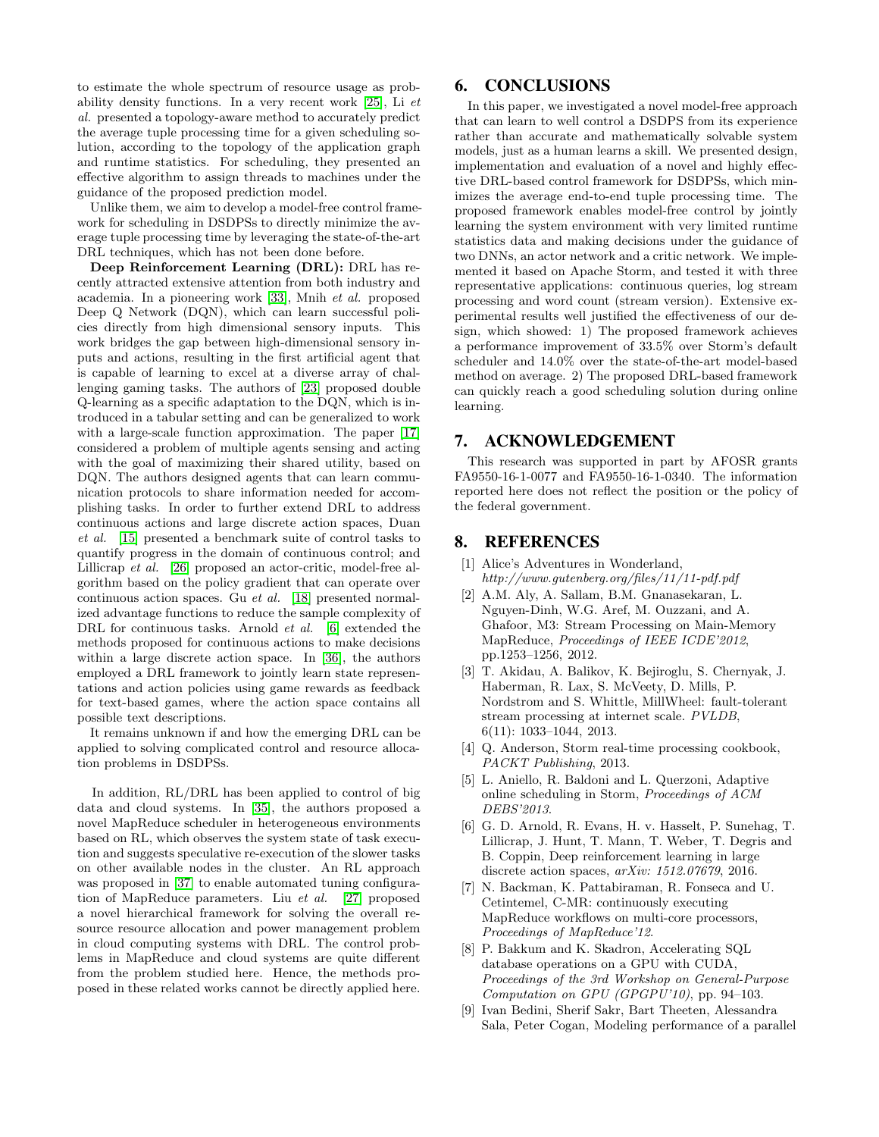to estimate the whole spectrum of resource usage as probability density functions. In a very recent work [\[25\]](#page-12-5), Li et al. presented a topology-aware method to accurately predict the average tuple processing time for a given scheduling solution, according to the topology of the application graph and runtime statistics. For scheduling, they presented an effective algorithm to assign threads to machines under the guidance of the proposed prediction model.

Unlike them, we aim to develop a model-free control framework for scheduling in DSDPSs to directly minimize the average tuple processing time by leveraging the state-of-the-art DRL techniques, which has not been done before.

Deep Reinforcement Learning (DRL): DRL has recently attracted extensive attention from both industry and academia. In a pioneering work [\[33\]](#page-12-7), Mnih et al. proposed Deep Q Network (DQN), which can learn successful policies directly from high dimensional sensory inputs. This work bridges the gap between high-dimensional sensory inputs and actions, resulting in the first artificial agent that is capable of learning to excel at a diverse array of challenging gaming tasks. The authors of [\[23\]](#page-12-17) proposed double Q-learning as a specific adaptation to the DQN, which is introduced in a tabular setting and can be generalized to work with a large-scale function approximation. The paper [\[17\]](#page-12-30) considered a problem of multiple agents sensing and acting with the goal of maximizing their shared utility, based on DQN. The authors designed agents that can learn communication protocols to share information needed for accomplishing tasks. In order to further extend DRL to address continuous actions and large discrete action spaces, Duan et al. [\[15\]](#page-12-31) presented a benchmark suite of control tasks to quantify progress in the domain of continuous control; and Lillicrap *et al.* [\[26\]](#page-12-11) proposed an actor-critic, model-free algorithm based on the policy gradient that can operate over continuous action spaces. Gu et al. [\[18\]](#page-12-32) presented normalized advantage functions to reduce the sample complexity of DRL for continuous tasks. Arnold *et al.* [\[6\]](#page-11-2) extended the methods proposed for continuous actions to make decisions within a large discrete action space. In [\[36\]](#page-12-33), the authors employed a DRL framework to jointly learn state representations and action policies using game rewards as feedback for text-based games, where the action space contains all possible text descriptions.

It remains unknown if and how the emerging DRL can be applied to solving complicated control and resource allocation problems in DSDPSs.

In addition, RL/DRL has been applied to control of big data and cloud systems. In [\[35\]](#page-12-34), the authors proposed a novel MapReduce scheduler in heterogeneous environments based on RL, which observes the system state of task execution and suggests speculative re-execution of the slower tasks on other available nodes in the cluster. An RL approach was proposed in [\[37\]](#page-12-35) to enable automated tuning configuration of MapReduce parameters. Liu et al. [\[27\]](#page-12-36) proposed a novel hierarchical framework for solving the overall resource resource allocation and power management problem in cloud computing systems with DRL. The control problems in MapReduce and cloud systems are quite different from the problem studied here. Hence, the methods proposed in these related works cannot be directly applied here.

## <span id="page-11-1"></span>6. CONCLUSIONS

In this paper, we investigated a novel model-free approach that can learn to well control a DSDPS from its experience rather than accurate and mathematically solvable system models, just as a human learns a skill. We presented design, implementation and evaluation of a novel and highly effective DRL-based control framework for DSDPSs, which minimizes the average end-to-end tuple processing time. The proposed framework enables model-free control by jointly learning the system environment with very limited runtime statistics data and making decisions under the guidance of two DNNs, an actor network and a critic network. We implemented it based on Apache Storm, and tested it with three representative applications: continuous queries, log stream processing and word count (stream version). Extensive experimental results well justified the effectiveness of our design, which showed: 1) The proposed framework achieves a performance improvement of 33.5% over Storm's default scheduler and 14.0% over the state-of-the-art model-based method on average. 2) The proposed DRL-based framework can quickly reach a good scheduling solution during online learning.

# 7. ACKNOWLEDGEMENT

This research was supported in part by AFOSR grants FA9550-16-1-0077 and FA9550-16-1-0340. The information reported here does not reflect the position or the policy of the federal government.

## <span id="page-11-4"></span>8. REFERENCES

- [1] Alice's Adventures in Wonderland, http://www.gutenberg.org/files/11/11-pdf.pdf
- <span id="page-11-6"></span>[2] A.M. Aly, A. Sallam, B.M. Gnanasekaran, L. Nguyen-Dinh, W.G. Aref, M. Ouzzani, and A. Ghafoor, M3: Stream Processing on Main-Memory MapReduce, Proceedings of IEEE ICDE'2012, pp.1253–1256, 2012.
- <span id="page-11-0"></span>[3] T. Akidau, A. Balikov, K. Bejiroglu, S. Chernyak, J. Haberman, R. Lax, S. McVeety, D. Mills, P. Nordstrom and S. Whittle, MillWheel: fault-tolerant stream processing at internet scale. PVLDB, 6(11): 1033–1044, 2013.
- [4] Q. Anderson, Storm real-time processing cookbook, PACKT Publishing, 2013.
- <span id="page-11-7"></span>[5] L. Aniello, R. Baldoni and L. Querzoni, Adaptive online scheduling in Storm, Proceedings of ACM DEBS'2013.
- <span id="page-11-2"></span>[6] G. D. Arnold, R. Evans, H. v. Hasselt, P. Sunehag, T. Lillicrap, J. Hunt, T. Mann, T. Weber, T. Degris and B. Coppin, Deep reinforcement learning in large discrete action spaces, arXiv: 1512.07679, 2016.
- <span id="page-11-5"></span>[7] N. Backman, K. Pattabiraman, R. Fonseca and U. Cetintemel, C-MR: continuously executing MapReduce workflows on multi-core processors, Proceedings of MapReduce'12.
- <span id="page-11-3"></span>[8] P. Bakkum and K. Skadron, Accelerating SQL database operations on a GPU with CUDA, Proceedings of the 3rd Workshop on General-Purpose Computation on GPU (GPGPU'10), pp. 94–103.
- <span id="page-11-8"></span>[9] Ivan Bedini, Sherif Sakr, Bart Theeten, Alessandra Sala, Peter Cogan, Modeling performance of a parallel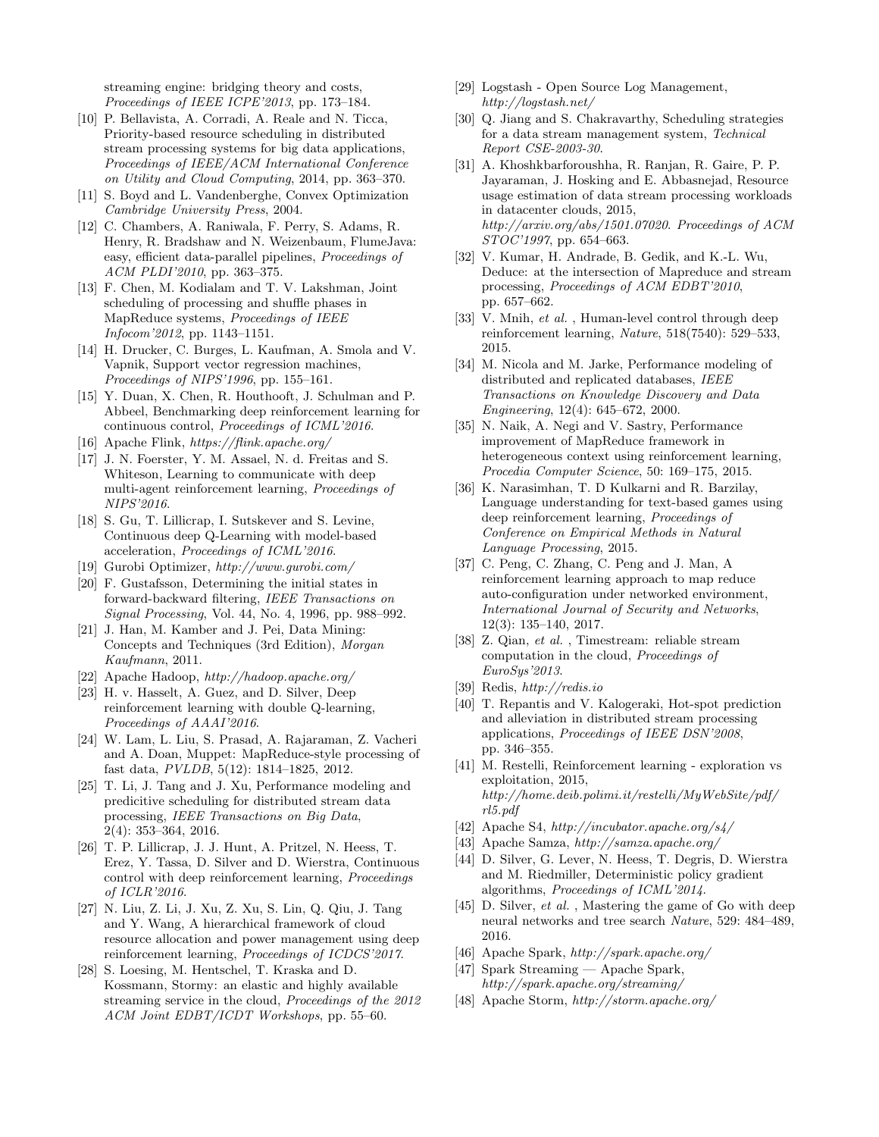streaming engine: bridging theory and costs, Proceedings of IEEE ICPE'2013, pp. 173–184.

- <span id="page-12-28"></span>[10] P. Bellavista, A. Corradi, A. Reale and N. Ticca, Priority-based resource scheduling in distributed stream processing systems for big data applications, Proceedings of IEEE/ACM International Conference on Utility and Cloud Computing, 2014, pp. 363–370.
- <span id="page-12-13"></span>[11] S. Boyd and L. Vandenberghe, Convex Optimization Cambridge University Press, 2004.
- <span id="page-12-22"></span>[12] C. Chambers, A. Raniwala, F. Perry, S. Adams, R. Henry, R. Bradshaw and N. Weizenbaum, FlumeJava: easy, efficient data-parallel pipelines, Proceedings of ACM PLDI'2010, pp. 363–375.
- <span id="page-12-3"></span>[13] F. Chen, M. Kodialam and T. V. Lakshman, Joint scheduling of processing and shuffle phases in MapReduce systems, Proceedings of IEEE Infocom'2012, pp. 1143–1151.
- <span id="page-12-6"></span>[14] H. Drucker, C. Burges, L. Kaufman, A. Smola and V. Vapnik, Support vector regression machines, Proceedings of NIPS'1996, pp. 155–161.
- <span id="page-12-31"></span>[15] Y. Duan, X. Chen, R. Houthooft, J. Schulman and P. Abbeel, Benchmarking deep reinforcement learning for continuous control, Proceedings of ICML'2016.
- <span id="page-12-30"></span><span id="page-12-21"></span>[16] Apache Flink, https://flink.apache.org/
- [17] J. N. Foerster, Y. M. Assael, N. d. Freitas and S. Whiteson, Learning to communicate with deep multi-agent reinforcement learning, Proceedings of NIPS'2016.
- <span id="page-12-32"></span>[18] S. Gu, T. Lillicrap, I. Sutskever and S. Levine, Continuous deep Q-Learning with model-based acceleration, Proceedings of ICML'2016.
- <span id="page-12-16"></span><span id="page-12-12"></span>[19] Gurobi Optimizer, http://www.gurobi.com/
- [20] F. Gustafsson, Determining the initial states in forward-backward filtering, IEEE Transactions on Signal Processing, Vol. 44, No. 4, 1996, pp. 988–992.
- [21] J. Han, M. Kamber and J. Pei, Data Mining: Concepts and Techniques (3rd Edition), Morgan Kaufmann, 2011.
- <span id="page-12-17"></span><span id="page-12-1"></span>[22] Apache Hadoop, http://hadoop.apache.org/
- [23] H. v. Hasselt, A. Guez, and D. Silver, Deep reinforcement learning with double Q-learning, Proceedings of AAAI'2016.
- <span id="page-12-23"></span>[24] W. Lam, L. Liu, S. Prasad, A. Rajaraman, Z. Vacheri and A. Doan, Muppet: MapReduce-style processing of fast data, PVLDB, 5(12): 1814–1825, 2012.
- <span id="page-12-5"></span>[25] T. Li, J. Tang and J. Xu, Performance modeling and predicitive scheduling for distributed stream data processing, IEEE Transactions on Big Data, 2(4): 353–364, 2016.
- <span id="page-12-11"></span>[26] T. P. Lillicrap, J. J. Hunt, A. Pritzel, N. Heess, T. Erez, Y. Tassa, D. Silver and D. Wierstra, Continuous control with deep reinforcement learning, Proceedings of ICLR'2016.
- <span id="page-12-36"></span>[27] N. Liu, Z. Li, J. Xu, Z. Xu, S. Lin, Q. Qiu, J. Tang and Y. Wang, A hierarchical framework of cloud resource allocation and power management using deep reinforcement learning, Proceedings of ICDCS'2017.
- [28] S. Loesing, M. Hentschel, T. Kraska and D. Kossmann, Stormy: an elastic and highly available streaming service in the cloud, Proceedings of the 2012 ACM Joint EDBT/ICDT Workshops, pp. 55–60.
- <span id="page-12-14"></span>[29] Logstash - Open Source Log Management, http://logstash.net/
- <span id="page-12-26"></span>[30] Q. Jiang and S. Chakravarthy, Scheduling strategies for a data stream management system, Technical Report CSE-2003-30.
- <span id="page-12-29"></span>[31] A. Khoshkbarforoushha, R. Ranjan, R. Gaire, P. P. Jayaraman, J. Hosking and E. Abbasnejad, Resource usage estimation of data stream processing workloads in datacenter clouds, 2015, http://arxiv.org/abs/1501.07020. Proceedings of ACM STOC'1997, pp. 654–663.
- <span id="page-12-24"></span>[32] V. Kumar, H. Andrade, B. Gedik, and K.-L. Wu, Deduce: at the intersection of Mapreduce and stream processing, Proceedings of ACM EDBT'2010, pp. 657–662.
- <span id="page-12-7"></span>[33] V. Mnih, et al., Human-level control through deep reinforcement learning, Nature, 518(7540): 529–533, 2015.
- <span id="page-12-4"></span>[34] M. Nicola and M. Jarke, Performance modeling of distributed and replicated databases, IEEE Transactions on Knowledge Discovery and Data Engineering, 12(4): 645–672, 2000.
- <span id="page-12-34"></span>[35] N. Naik, A. Negi and V. Sastry, Performance improvement of MapReduce framework in heterogeneous context using reinforcement learning, Procedia Computer Science, 50: 169–175, 2015.
- <span id="page-12-33"></span>[36] K. Narasimhan, T. D Kulkarni and R. Barzilay, Language understanding for text-based games using deep reinforcement learning, Proceedings of Conference on Empirical Methods in Natural Language Processing, 2015.
- <span id="page-12-35"></span>[37] C. Peng, C. Zhang, C. Peng and J. Man, A reinforcement learning approach to map reduce auto-configuration under networked environment, International Journal of Security and Networks, 12(3): 135–140, 2017.
- <span id="page-12-19"></span>[38] Z. Qian, et al. , Timestream: reliable stream computation in the cloud, Proceedings of EuroSys'2013.
- <span id="page-12-27"></span><span id="page-12-15"></span>[39] Redis, http://redis.io
- [40] T. Repantis and V. Kalogeraki, Hot-spot prediction and alleviation in distributed stream processing applications, Proceedings of IEEE DSN'2008, pp. 346–355.
- <span id="page-12-9"></span>[41] M. Restelli, Reinforcement learning - exploration vs exploitation, 2015, http://home.deib.polimi.it/restelli/MyWebSite/pdf/ rl5.pdf
- <span id="page-12-25"></span><span id="page-12-18"></span>[42] Apache S4, http://incubator.apache.org/s4/
- <span id="page-12-10"></span>[43] Apache Samza, http://samza.apache.org/
- [44] D. Silver, G. Lever, N. Heess, T. Degris, D. Wierstra and M. Riedmiller, Deterministic policy gradient algorithms, Proceedings of ICML'2014.
- <span id="page-12-8"></span>[45] D. Silver, *et al.*, Mastering the game of Go with deep neural networks and tree search Nature, 529: 484–489, 2016.
- <span id="page-12-20"></span><span id="page-12-2"></span>[46] Apache Spark, http://spark.apache.org/
- [47] Spark Streaming Apache Spark, http://spark.apache.org/streaming/
- <span id="page-12-0"></span>[48] Apache Storm, http://storm.apache.org/